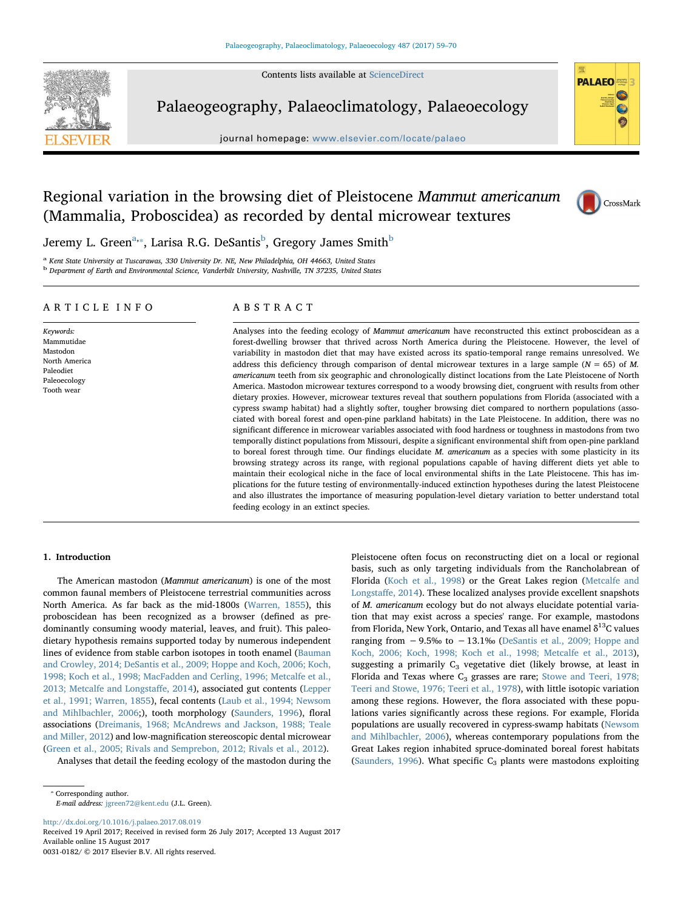Contents lists available at [ScienceDirect](http://www.sciencedirect.com/science/journal/00310182)



Palaeogeography, Palaeoclimatology, Palaeoecology

journal homepage: [www.elsevier.com/locate/palaeo](http://www.elsevier.com/locate/palaeo)



**PALAEO** 

# Regional variation in the browsing diet of Pleistocene Mammut americanum (Mammalia, Proboscidea) as recorded by dental microwear textures



Jeremy L. Green $^{\rm a, *}$  $^{\rm a, *}$  $^{\rm a, *}$ , Larisa R.G. DeSantis $^{\rm b}$  $^{\rm b}$  $^{\rm b}$ , Gregory James Smith $^{\rm b}$ 

<span id="page-0-0"></span><sup>a</sup> Kent State University at Tuscarawas, 330 University Dr. NE, New Philadelphia, OH 44663, United States

<span id="page-0-2"></span><sup>b</sup> Department of Earth and Environmental Science, Vanderbilt University, Nashville, TN 37235, United States

# ARTICLE INFO

Keywords: Mammutidae Mastodon North America Paleodiet Paleoecology Tooth wear

# ABSTRACT

Analyses into the feeding ecology of Mammut americanum have reconstructed this extinct proboscidean as a forest-dwelling browser that thrived across North America during the Pleistocene. However, the level of variability in mastodon diet that may have existed across its spatio-temporal range remains unresolved. We address this deficiency through comparison of dental microwear textures in a large sample ( $N = 65$ ) of M. americanum teeth from six geographic and chronologically distinct locations from the Late Pleistocene of North America. Mastodon microwear textures correspond to a woody browsing diet, congruent with results from other dietary proxies. However, microwear textures reveal that southern populations from Florida (associated with a cypress swamp habitat) had a slightly softer, tougher browsing diet compared to northern populations (associated with boreal forest and open-pine parkland habitats) in the Late Pleistocene. In addition, there was no significant difference in microwear variables associated with food hardness or toughness in mastodons from two temporally distinct populations from Missouri, despite a significant environmental shift from open-pine parkland to boreal forest through time. Our findings elucidate M. americanum as a species with some plasticity in its browsing strategy across its range, with regional populations capable of having different diets yet able to maintain their ecological niche in the face of local environmental shifts in the Late Pleistocene. This has implications for the future testing of environmentally-induced extinction hypotheses during the latest Pleistocene and also illustrates the importance of measuring population-level dietary variation to better understand total feeding ecology in an extinct species.

#### <span id="page-0-3"></span>1. Introduction

The American mastodon (Mammut americanum) is one of the most common faunal members of Pleistocene terrestrial communities across North America. As far back as the mid-1800s [\(Warren, 1855](#page-11-0)), this proboscidean has been recognized as a browser (defined as predominantly consuming woody material, leaves, and fruit). This paleodietary hypothesis remains supported today by numerous independent lines of evidence from stable carbon isotopes in tooth enamel ([Bauman](#page-9-0) [and Crowley, 2014; DeSantis et al., 2009; Hoppe and Koch, 2006; Koch,](#page-9-0) [1998; Koch et al., 1998; MacFadden and Cerling, 1996; Metcalfe et al.,](#page-9-0) [2013; Metcalfe and Longsta](#page-9-0)ffe, 2014), associated gut contents ([Lepper](#page-10-0) [et al., 1991; Warren, 1855\)](#page-10-0), fecal contents ([Laub et al., 1994; Newsom](#page-10-1) [and Mihlbachler, 2006](#page-10-1);), tooth morphology ([Saunders, 1996\)](#page-10-2), floral associations [\(Dreimanis, 1968; McAndrews and Jackson, 1988; Teale](#page-9-1) [and Miller, 2012\)](#page-9-1) and low-magnification stereoscopic dental microwear ([Green et al., 2005; Rivals and Semprebon, 2012; Rivals et al., 2012\)](#page-10-3).

Analyses that detail the feeding ecology of the mastodon during the

<http://dx.doi.org/10.1016/j.palaeo.2017.08.019>

Received 19 April 2017; Received in revised form 26 July 2017; Accepted 13 August 2017 Available online 15 August 2017 0031-0182/ © 2017 Elsevier B.V. All rights reserved.

basis, such as only targeting individuals from the Rancholabrean of Florida [\(Koch et al., 1998\)](#page-10-4) or the Great Lakes region ([Metcalfe and](#page-10-5) [Longsta](#page-10-5)ffe, 2014). These localized analyses provide excellent snapshots of M. americanum ecology but do not always elucidate potential variation that may exist across a species' range. For example, mastodons from Florida, New York, Ontario, and Texas all have enamel  $\delta^{13}$ C values ranging from  $-9.5\%$  to  $-13.1\%$  [\(DeSantis et al., 2009; Hoppe and](#page-9-2) [Koch, 2006; Koch, 1998; Koch et al., 1998; Metcalfe et al., 2013](#page-9-2)), suggesting a primarily  $C_3$  vegetative diet (likely browse, at least in Florida and Texas where  $C_3$  grasses are rare; [Stowe and Teeri, 1978;](#page-11-1) [Teeri and Stowe, 1976; Teeri et al., 1978](#page-11-1)), with little isotopic variation among these regions. However, the flora associated with these populations varies significantly across these regions. For example, Florida populations are usually recovered in cypress-swamp habitats [\(Newsom](#page-10-6) [and Mihlbachler, 2006\)](#page-10-6), whereas contemporary populations from the Great Lakes region inhabited spruce-dominated boreal forest habitats ([Saunders, 1996\)](#page-10-2). What specific  $C_3$  plants were mastodons exploiting

Pleistocene often focus on reconstructing diet on a local or regional

<span id="page-0-1"></span><sup>⁎</sup> Corresponding author. E-mail address: [jgreen72@kent.edu](mailto:jgreen72@kent.edu) (J.L. Green).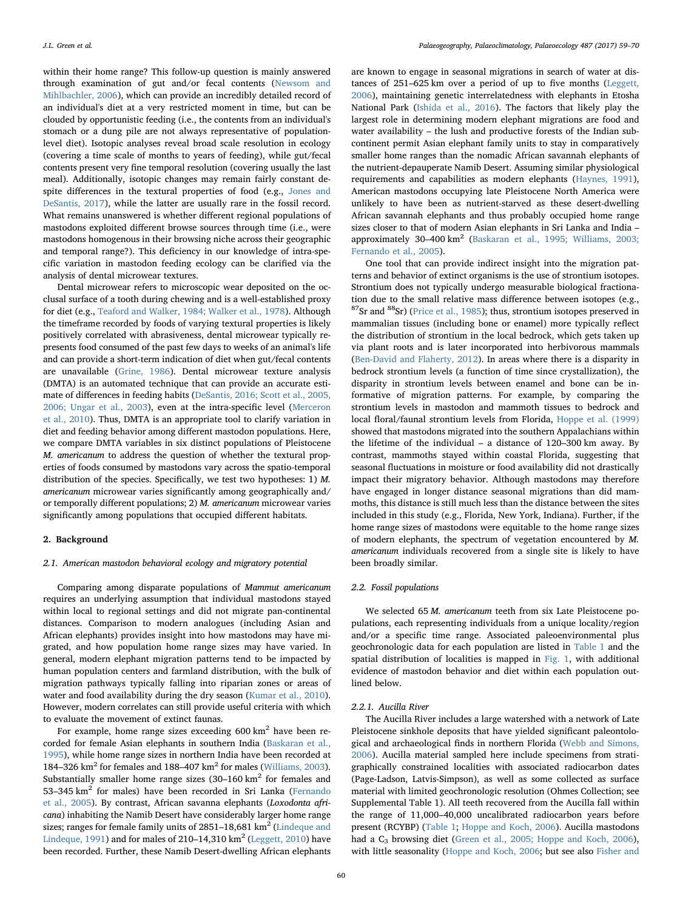within their home range? This follow-up question is mainly answered through examination of gut and/or fecal contents ([Newsom and](#page-10-6) [Mihlbachler, 2006\)](#page-10-6), which can provide an incredibly detailed record of an individual's diet at a very restricted moment in time, but can be clouded by opportunistic feeding (i.e., the contents from an individual's stomach or a dung pile are not always representative of populationlevel diet). Isotopic analyses reveal broad scale resolution in ecology (covering a time scale of months to years of feeding), while gut/fecal contents present very fine temporal resolution (covering usually the last meal). Additionally, isotopic changes may remain fairly constant despite differences in the textural properties of food (e.g., [Jones and](#page-10-7) [DeSantis, 2017](#page-10-7)), while the latter are usually rare in the fossil record. What remains unanswered is whether different regional populations of mastodons exploited different browse sources through time (i.e., were mastodons homogenous in their browsing niche across their geographic and temporal range?). This deficiency in our knowledge of intra-specific variation in mastodon feeding ecology can be clarified via the analysis of dental microwear textures.

Dental microwear refers to microscopic wear deposited on the occlusal surface of a tooth during chewing and is a well-established proxy for diet (e.g., [Teaford and Walker, 1984; Walker et al., 1978\)](#page-11-2). Although the timeframe recorded by foods of varying textural properties is likely positively correlated with abrasiveness, dental microwear typically represents food consumed of the past few days to weeks of an animal's life and can provide a short-term indication of diet when gut/fecal contents are unavailable [\(Grine, 1986](#page-10-8)). Dental microwear texture analysis (DMTA) is an automated technique that can provide an accurate estimate of differences in feeding habits [\(DeSantis, 2016; Scott et al., 2005,](#page-9-3) [2006; Ungar et al., 2003\)](#page-9-3), even at the intra-specific level [\(Merceron](#page-10-9) [et al., 2010](#page-10-9)). Thus, DMTA is an appropriate tool to clarify variation in diet and feeding behavior among different mastodon populations. Here, we compare DMTA variables in six distinct populations of Pleistocene M. americanum to address the question of whether the textural properties of foods consumed by mastodons vary across the spatio-temporal distribution of the species. Specifically, we test two hypotheses: 1) M. americanum microwear varies significantly among geographically and/ or temporally different populations; 2) M. americanum microwear varies significantly among populations that occupied different habitats.

#### 2. Background

#### <span id="page-1-0"></span>2.1. American mastodon behavioral ecology and migratory potential

Comparing among disparate populations of Mammut americanum requires an underlying assumption that individual mastodons stayed within local to regional settings and did not migrate pan-continental distances. Comparison to modern analogues (including Asian and African elephants) provides insight into how mastodons may have migrated, and how population home range sizes may have varied. In general, modern elephant migration patterns tend to be impacted by human population centers and farmland distribution, with the bulk of migration pathways typically falling into riparian zones or areas of water and food availability during the dry season [\(Kumar et al., 2010](#page-10-10)). However, modern correlates can still provide useful criteria with which to evaluate the movement of extinct faunas.

For example, home range sizes exceeding 600 km<sup>2</sup> have been recorded for female Asian elephants in southern India ([Baskaran et al.,](#page-9-4) [1995\)](#page-9-4), while home range sizes in northern India have been recorded at 184–326  $km^2$  for females and 188–407  $km^2$  for males [\(Williams, 2003](#page-11-3)). Substantially smaller home range sizes  $(30-160 \text{ km}^2 \text{ for females and}$ 53–345  $km^2$  for males) have been recorded in Sri Lanka [\(Fernando](#page-9-5) [et al., 2005\)](#page-9-5). By contrast, African savanna elephants (Loxodonta africana) inhabiting the Namib Desert have considerably larger home range sizes; ranges for female family units of 2851-18,681 km<sup>2</sup> [\(Lindeque and](#page-10-11) [Lindeque, 1991](#page-10-11)) and for males of 210-14,310  $km^2$  ([Leggett, 2010\)](#page-10-12) have been recorded. Further, these Namib Desert-dwelling African elephants

are known to engage in seasonal migrations in search of water at distances of 251–625 km over a period of up to five months ([Leggett,](#page-10-13) [2006\)](#page-10-13), maintaining genetic interrelatedness with elephants in Etosha National Park ([Ishida et al., 2016](#page-10-14)). The factors that likely play the largest role in determining modern elephant migrations are food and water availability – the lush and productive forests of the Indian subcontinent permit Asian elephant family units to stay in comparatively smaller home ranges than the nomadic African savannah elephants of the nutrient-depauperate Namib Desert. Assuming similar physiological requirements and capabilities as modern elephants [\(Haynes, 1991](#page-10-15)), American mastodons occupying late Pleistocene North America were unlikely to have been as nutrient-starved as these desert-dwelling African savannah elephants and thus probably occupied home range sizes closer to that of modern Asian elephants in Sri Lanka and India – approximately 30–400 km<sup>2</sup> [\(Baskaran et al., 1995; Williams, 2003;](#page-9-4) [Fernando et al., 2005](#page-9-4)).

One tool that can provide indirect insight into the migration patterns and behavior of extinct organisms is the use of strontium isotopes. Strontium does not typically undergo measurable biological fractionation due to the small relative mass difference between isotopes (e.g.,  $87$ Sr and  $88$ Sr) [\(Price et al., 1985](#page-10-16)); thus, strontium isotopes preserved in mammalian tissues (including bone or enamel) more typically reflect the distribution of strontium in the local bedrock, which gets taken up via plant roots and is later incorporated into herbivorous mammals ([Ben-David and Flaherty, 2012](#page-9-6)). In areas where there is a disparity in bedrock strontium levels (a function of time since crystallization), the disparity in strontium levels between enamel and bone can be informative of migration patterns. For example, by comparing the strontium levels in mastodon and mammoth tissues to bedrock and local floral/faunal strontium levels from Florida, [Hoppe et al. \(1999\)](#page-10-17) showed that mastodons migrated into the southern Appalachians within the lifetime of the individual – a distance of 120–300 km away. By contrast, mammoths stayed within coastal Florida, suggesting that seasonal fluctuations in moisture or food availability did not drastically impact their migratory behavior. Although mastodons may therefore have engaged in longer distance seasonal migrations than did mammoths, this distance is still much less than the distance between the sites included in this study (e.g., Florida, New York, Indiana). Further, if the home range sizes of mastodons were equitable to the home range sizes of modern elephants, the spectrum of vegetation encountered by M. americanum individuals recovered from a single site is likely to have been broadly similar.

### 2.2. Fossil populations

We selected 65 M. americanum teeth from six Late Pleistocene populations, each representing individuals from a unique locality/region and/or a specific time range. Associated paleoenvironmental plus geochronologic data for each population are listed in [Table 1](#page-2-0) and the spatial distribution of localities is mapped in [Fig. 1](#page-3-0), with additional evidence of mastodon behavior and diet within each population outlined below.

#### 2.2.1. Aucilla River

The Aucilla River includes a large watershed with a network of Late Pleistocene sinkhole deposits that have yielded significant paleontological and archaeological finds in northern Florida ([Webb and Simons,](#page-11-4) [2006\)](#page-11-4). Aucilla material sampled here include specimens from stratigraphically constrained localities with associated radiocarbon dates (Page-Ladson, Latvis-Simpson), as well as some collected as surface material with limited geochronologic resolution (Ohmes Collection; see Supplemental Table 1). All teeth recovered from the Aucilla fall within the range of 11,000–40,000 uncalibrated radiocarbon years before present (RCYBP) [\(Table 1;](#page-2-0) [Hoppe and Koch, 2006\)](#page-10-18). Aucilla mastodons had a C<sub>3</sub> browsing diet [\(Green et al., 2005; Hoppe and Koch, 2006](#page-10-3)), with little seasonality ([Hoppe and Koch, 2006;](#page-10-18) but see also [Fisher and](#page-10-19)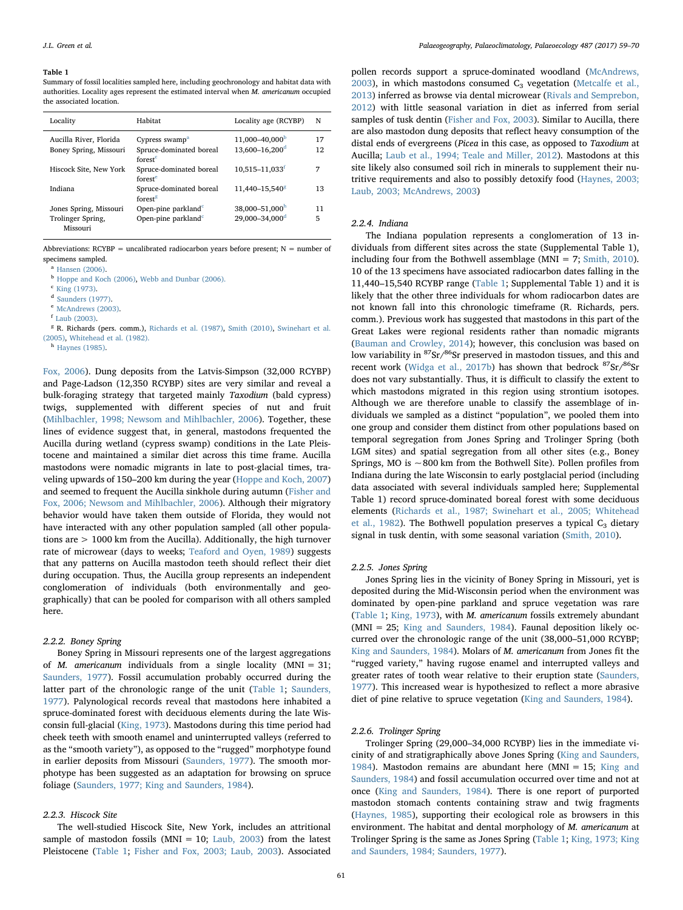#### <span id="page-2-0"></span>Table 1

Summary of fossil localities sampled here, including geochronology and habitat data with authorities. Locality ages represent the estimated interval when M. americanum occupied the associated location.

| Locality                                         | Habitat                                                                      | Locality age (RCYBP)                                     | N        |
|--------------------------------------------------|------------------------------------------------------------------------------|----------------------------------------------------------|----------|
| Aucilla River, Florida<br>Boney Spring, Missouri | Cypress swamp <sup>a</sup><br>Spruce-dominated boreal<br>forest <sup>c</sup> | 11,000-40,000 <sup>b</sup><br>13.600-16.200 <sup>d</sup> | 17<br>12 |
| Hiscock Site, New York                           | Spruce-dominated boreal<br>forest <sup>e</sup>                               | $10.515 - 11.033$ <sup>f</sup>                           | 7        |
| Indiana                                          | Spruce-dominated boreal<br>forest <sup>g</sup>                               | 11.440-15.540 <sup>g</sup>                               | 13       |
| Jones Spring, Missouri                           | Open-pine parkland <sup>c</sup>                                              | 38,000-51,000h                                           | 11       |
| Trolinger Spring,<br>Missouri                    | Open-pine parkland <sup>c</sup>                                              | 29.000-34.000 <sup>d</sup>                               | 5        |

Abbreviations:  $RCYBP$  = uncalibrated radiocarbon years before present;  $N$  = number of specimens sampled.

<span id="page-2-1"></span><sup>a</sup> [Hansen \(2006\).](#page-10-33)

<span id="page-2-2"></span>b [Hoppe and Koch \(2006\)](#page-10-18), [Webb and Dunbar \(2006\).](#page-11-7)

<span id="page-2-3"></span> $\frac{1}{2}$  [King \(1973\).](#page-10-23)

<span id="page-2-4"></span><sup>d</sup> [Saunders \(1977\).](#page-10-22)

<span id="page-2-6"></span><sup>f</sup> [Laub \(2003\).](#page-10-24)

<span id="page-2-7"></span><sup>8</sup> R. Richards (pers. comm.), [Richards et al. \(1987\),](#page-10-30) [Smith \(2010\),](#page-10-29) [Swinehart et al.](#page-11-8) [\(2005\),](#page-11-8) [Whitehead et al. \(1982\).](#page-11-9)

<span id="page-2-8"></span><sup>h</sup> [Haynes \(1985\).](#page-10-32)

[Fox, 2006](#page-10-19)). Dung deposits from the Latvis-Simpson (32,000 RCYBP) and Page-Ladson (12,350 RCYBP) sites are very similar and reveal a bulk-foraging strategy that targeted mainly Taxodium (bald cypress) twigs, supplemented with different species of nut and fruit ([Mihlbachler, 1998; Newsom and Mihlbachler, 2006\)](#page-10-20). Together, these lines of evidence suggest that, in general, mastodons frequented the Aucilla during wetland (cypress swamp) conditions in the Late Pleistocene and maintained a similar diet across this time frame. Aucilla mastodons were nomadic migrants in late to post-glacial times, traveling upwards of 150–200 km during the year [\(Hoppe and Koch, 2007\)](#page-10-21) and seemed to frequent the Aucilla sinkhole during autumn ([Fisher and](#page-10-19) [Fox, 2006; Newsom and Mihlbachler, 2006](#page-10-19)). Although their migratory behavior would have taken them outside of Florida, they would not have interacted with any other population sampled (all other populations are > 1000 km from the Aucilla). Additionally, the high turnover rate of microwear (days to weeks; [Teaford and Oyen, 1989](#page-11-5)) suggests that any patterns on Aucilla mastodon teeth should reflect their diet during occupation. Thus, the Aucilla group represents an independent conglomeration of individuals (both environmentally and geographically) that can be pooled for comparison with all others sampled here.

#### 2.2.2. Boney Spring

Boney Spring in Missouri represents one of the largest aggregations of *M. americanum* individuals from a single locality (MNI = 31; [Saunders, 1977\)](#page-10-22). Fossil accumulation probably occurred during the latter part of the chronologic range of the unit [\(Table 1](#page-2-0); [Saunders,](#page-10-22) [1977\)](#page-10-22). Palynological records reveal that mastodons here inhabited a spruce-dominated forest with deciduous elements during the late Wisconsin full-glacial [\(King, 1973](#page-10-23)). Mastodons during this time period had cheek teeth with smooth enamel and uninterrupted valleys (referred to as the "smooth variety"), as opposed to the "rugged" morphotype found in earlier deposits from Missouri [\(Saunders, 1977\)](#page-10-22). The smooth morphotype has been suggested as an adaptation for browsing on spruce foliage [\(Saunders, 1977; King and Saunders, 1984](#page-10-22)).

#### 2.2.3. Hiscock Site

The well-studied Hiscock Site, New York, includes an attritional sample of mastodon fossils (MNI = 10; [Laub, 2003](#page-10-24)) from the latest Pleistocene ([Table 1](#page-2-0); [Fisher and Fox, 2003; Laub, 2003](#page-9-7)). Associated

pollen records support a spruce-dominated woodland ([McAndrews,](#page-10-25) [2003\)](#page-10-25), in which mastodons consumed  $C_3$  vegetation [\(Metcalfe et al.,](#page-10-26) [2013\)](#page-10-26) inferred as browse via dental microwear ([Rivals and Semprebon,](#page-10-27) [2012\)](#page-10-27) with little seasonal variation in diet as inferred from serial samples of tusk dentin ([Fisher and Fox, 2003\)](#page-9-7). Similar to Aucilla, there are also mastodon dung deposits that reflect heavy consumption of the distal ends of evergreens (Picea in this case, as opposed to Taxodium at Aucilla; [Laub et al., 1994; Teale and Miller, 2012](#page-10-1)). Mastodons at this site likely also consumed soil rich in minerals to supplement their nutritive requirements and also to possibly detoxify food ([Haynes, 2003;](#page-10-28) [Laub, 2003; McAndrews, 2003\)](#page-10-28)

#### 2.2.4. Indiana

The Indiana population represents a conglomeration of 13 individuals from different sites across the state (Supplemental Table 1), including four from the Bothwell assemblage (MNI = 7; [Smith, 2010](#page-10-29)). 10 of the 13 specimens have associated radiocarbon dates falling in the 11,440–15,540 RCYBP range ([Table 1](#page-2-0); Supplemental Table 1) and it is likely that the other three individuals for whom radiocarbon dates are not known fall into this chronologic timeframe (R. Richards, pers. comm.). Previous work has suggested that mastodons in this part of the Great Lakes were regional residents rather than nomadic migrants ([Bauman and Crowley, 2014\)](#page-9-0); however, this conclusion was based on low variability in  ${}^{87}Sr/{}^{86}Sr$  preserved in mastodon tissues, and this and recent work [\(Widga et al., 2017b\)](#page-11-6) has shown that bedrock  ${}^{87}Sr/{}^{86}Sr$ does not vary substantially. Thus, it is difficult to classify the extent to which mastodons migrated in this region using strontium isotopes. Although we are therefore unable to classify the assemblage of individuals we sampled as a distinct "population", we pooled them into one group and consider them distinct from other populations based on temporal segregation from Jones Spring and Trolinger Spring (both LGM sites) and spatial segregation from all other sites (e.g., Boney Springs, MO is  $\sim$  800 km from the Bothwell Site). Pollen profiles from Indiana during the late Wisconsin to early postglacial period (including data associated with several individuals sampled here; Supplemental Table 1) record spruce-dominated boreal forest with some deciduous elements ([Richards et al., 1987; Swinehart et al., 2005; Whitehead](#page-10-30) [et al., 1982\)](#page-10-30). The Bothwell population preserves a typical  $C_3$  dietary signal in tusk dentin, with some seasonal variation ([Smith, 2010\)](#page-10-29).

#### 2.2.5. Jones Spring

Jones Spring lies in the vicinity of Boney Spring in Missouri, yet is deposited during the Mid-Wisconsin period when the environment was dominated by open-pine parkland and spruce vegetation was rare ([Table 1](#page-2-0); [King, 1973](#page-10-23)), with M. americanum fossils extremely abundant (MNI = 25; [King and Saunders, 1984\)](#page-10-31). Faunal deposition likely occurred over the chronologic range of the unit (38,000–51,000 RCYBP; [King and Saunders, 1984\)](#page-10-31). Molars of M. americanum from Jones fit the "rugged variety," having rugose enamel and interrupted valleys and greater rates of tooth wear relative to their eruption state ([Saunders,](#page-10-22) [1977\)](#page-10-22). This increased wear is hypothesized to reflect a more abrasive diet of pine relative to spruce vegetation ([King and Saunders, 1984\)](#page-10-31).

#### 2.2.6. Trolinger Spring

Trolinger Spring (29,000–34,000 RCYBP) lies in the immediate vicinity of and stratigraphically above Jones Spring [\(King and Saunders,](#page-10-31) [1984\)](#page-10-31). Mastodon remains are abundant here (MNI = 15; [King and](#page-10-31) [Saunders, 1984](#page-10-31)) and fossil accumulation occurred over time and not at once [\(King and Saunders, 1984\)](#page-10-31). There is one report of purported mastodon stomach contents containing straw and twig fragments ([Haynes, 1985](#page-10-32)), supporting their ecological role as browsers in this environment. The habitat and dental morphology of M. americanum at Trolinger Spring is the same as Jones Spring ([Table 1;](#page-2-0) [King, 1973; King](#page-10-23) [and Saunders, 1984; Saunders, 1977\)](#page-10-23).

<span id="page-2-5"></span><sup>e</sup> [McAndrews \(2003\).](#page-10-25)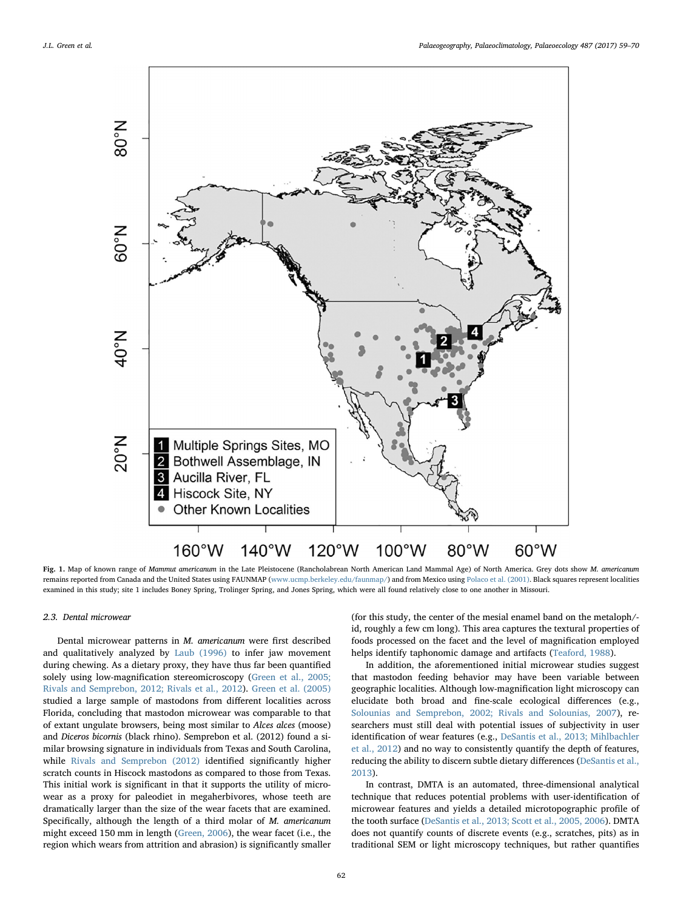<span id="page-3-0"></span>

Fig. 1. Map of known range of Mammut americanum in the Late Pleistocene (Rancholabrean North American Land Mammal Age) of North America. Grey dots show M. americanum remains reported from Canada and the United States using FAUNMAP ([www.ucmp.berkeley.edu/faunmap/\)](http://www.ucmp.berkeley.edu/faunmap) and from Mexico using [Polaco et al. \(2001\).](#page-10-36) Black squares represent localities examined in this study; site 1 includes Boney Spring, Trolinger Spring, and Jones Spring, which were all found relatively close to one another in Missouri.

#### 2.3. Dental microwear

Dental microwear patterns in M. americanum were first described and qualitatively analyzed by [Laub \(1996\)](#page-10-34) to infer jaw movement during chewing. As a dietary proxy, they have thus far been quantified solely using low-magnification stereomicroscopy [\(Green et al., 2005;](#page-10-3) [Rivals and Semprebon, 2012; Rivals et al., 2012](#page-10-3)). [Green et al. \(2005\)](#page-10-3) studied a large sample of mastodons from different localities across Florida, concluding that mastodon microwear was comparable to that of extant ungulate browsers, being most similar to Alces alces (moose) and Diceros bicornis (black rhino). Semprebon et al. (2012) found a similar browsing signature in individuals from Texas and South Carolina, while [Rivals and Semprebon \(2012\)](#page-10-27) identified significantly higher scratch counts in Hiscock mastodons as compared to those from Texas. This initial work is significant in that it supports the utility of microwear as a proxy for paleodiet in megaherbivores, whose teeth are dramatically larger than the size of the wear facets that are examined. Specifically, although the length of a third molar of M. americanum might exceed 150 mm in length [\(Green, 2006\)](#page-10-35), the wear facet (i.e., the region which wears from attrition and abrasion) is significantly smaller

(for this study, the center of the mesial enamel band on the metaloph/ id, roughly a few cm long). This area captures the textural properties of foods processed on the facet and the level of magnification employed helps identify taphonomic damage and artifacts [\(Teaford, 1988](#page-11-10)).

In addition, the aforementioned initial microwear studies suggest that mastodon feeding behavior may have been variable between geographic localities. Although low-magnification light microscopy can elucidate both broad and fine-scale ecological differences (e.g., [Solounias and Semprebon, 2002; Rivals and Solounias, 2007](#page-11-11)), researchers must still deal with potential issues of subjectivity in user identification of wear features (e.g., [DeSantis et al., 2013; Mihlbachler](#page-9-8) [et al., 2012\)](#page-9-8) and no way to consistently quantify the depth of features, reducing the ability to discern subtle dietary differences ([DeSantis et al.,](#page-9-8) [2013\)](#page-9-8).

In contrast, DMTA is an automated, three-dimensional analytical technique that reduces potential problems with user-identification of microwear features and yields a detailed microtopographic profile of the tooth surface [\(DeSantis et al., 2013; Scott et al., 2005, 2006\)](#page-9-8). DMTA does not quantify counts of discrete events (e.g., scratches, pits) as in traditional SEM or light microscopy techniques, but rather quantifies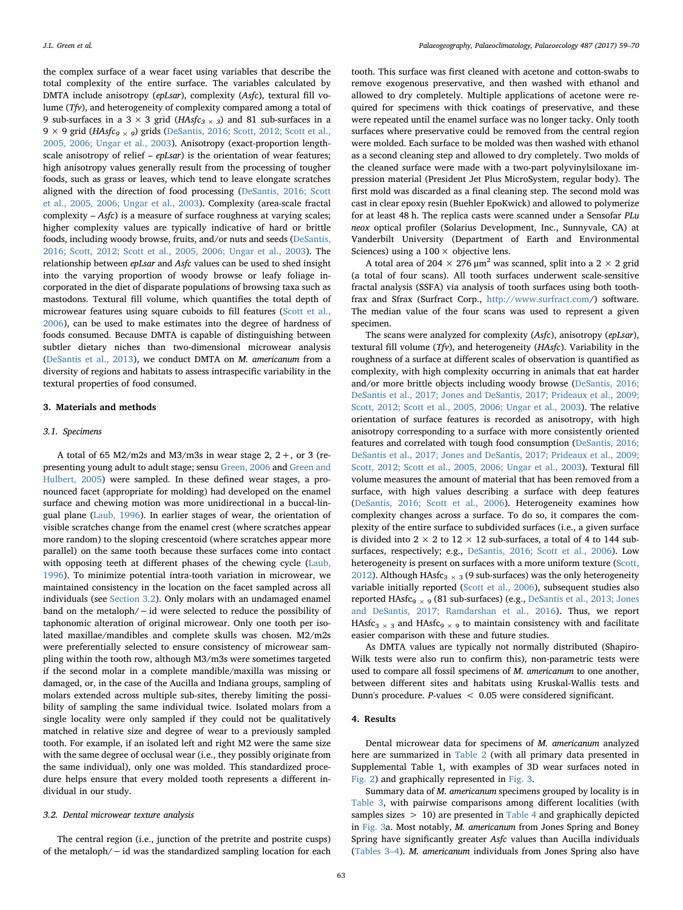the complex surface of a wear facet using variables that describe the total complexity of the entire surface. The variables calculated by DMTA include anisotropy (epLsar), complexity (Asfc), textural fill volume (Tfv), and heterogeneity of complexity compared among a total of 9 sub-surfaces in a 3  $\times$  3 grid (HAsfc<sub>3  $\times$ 3)</sub> and 81 sub-surfaces in a 9 × 9 grid (HAsfc<sub>9 × 9</sub>) grids ([DeSantis, 2016; Scott, 2012; Scott et al.,](#page-9-3) [2005, 2006; Ungar et al., 2003](#page-9-3)). Anisotropy (exact-proportion lengthscale anisotropy of relief – epLsar) is the orientation of wear features; high anisotropy values generally result from the processing of tougher foods, such as grass or leaves, which tend to leave elongate scratches aligned with the direction of food processing ([DeSantis, 2016; Scott](#page-9-3) [et al., 2005, 2006; Ungar et al., 2003\)](#page-9-3). Complexity (area-scale fractal complexity – Asfc) is a measure of surface roughness at varying scales; higher complexity values are typically indicative of hard or brittle foods, including woody browse, fruits, and/or nuts and seeds ([DeSantis,](#page-9-3) [2016; Scott, 2012; Scott et al., 2005, 2006; Ungar et al., 2003\)](#page-9-3). The relationship between epLsar and Asfc values can be used to shed insight into the varying proportion of woody browse or leafy foliage incorporated in the diet of disparate populations of browsing taxa such as mastodons. Textural fill volume, which quantifies the total depth of microwear features using square cuboids to fill features ([Scott et al.,](#page-10-37) [2006\)](#page-10-37), can be used to make estimates into the degree of hardness of foods consumed. Because DMTA is capable of distinguishing between subtler dietary niches than two-dimensional microwear analysis ([DeSantis et al., 2013](#page-9-8)), we conduct DMTA on M. americanum from a diversity of regions and habitats to assess intraspecific variability in the textural properties of food consumed.

#### 3. Materials and methods

#### 3.1. Specimens

A total of 65 M2/m2s and M3/m3s in wear stage 2,  $2 +$ , or 3 (representing young adult to adult stage; sensu [Green, 2006](#page-10-35) and [Green and](#page-10-38) [Hulbert, 2005\)](#page-10-38) were sampled. In these defined wear stages, a pronounced facet (appropriate for molding) had developed on the enamel surface and chewing motion was more unidirectional in a buccal-lingual plane ([Laub, 1996](#page-10-34)). In earlier stages of wear, the orientation of visible scratches change from the enamel crest (where scratches appear more random) to the sloping crescentoid (where scratches appear more parallel) on the same tooth because these surfaces come into contact with opposing teeth at different phases of the chewing cycle [\(Laub,](#page-10-34) [1996\)](#page-10-34). To minimize potential intra-tooth variation in microwear, we maintained consistency in the location on the facet sampled across all individuals (see [Section 3.2\)](#page-4-0). Only molars with an undamaged enamel band on the metaloph/−id were selected to reduce the possibility of taphonomic alteration of original microwear. Only one tooth per isolated maxillae/mandibles and complete skulls was chosen. M2/m2s were preferentially selected to ensure consistency of microwear sampling within the tooth row, although M3/m3s were sometimes targeted if the second molar in a complete mandible/maxilla was missing or damaged, or, in the case of the Aucilla and Indiana groups, sampling of molars extended across multiple sub-sites, thereby limiting the possibility of sampling the same individual twice. Isolated molars from a single locality were only sampled if they could not be qualitatively matched in relative size and degree of wear to a previously sampled tooth. For example, if an isolated left and right M2 were the same size with the same degree of occlusal wear (i.e., they possibly originate from the same individual), only one was molded. This standardized procedure helps ensure that every molded tooth represents a different individual in our study.

#### <span id="page-4-0"></span>3.2. Dental microwear texture analysis

The central region (i.e., junction of the pretrite and postrite cusps) of the metaloph/−id was the standardized sampling location for each

tooth. This surface was first cleaned with acetone and cotton-swabs to remove exogenous preservative, and then washed with ethanol and allowed to dry completely. Multiple applications of acetone were required for specimens with thick coatings of preservative, and these were repeated until the enamel surface was no longer tacky. Only tooth surfaces where preservative could be removed from the central region were molded. Each surface to be molded was then washed with ethanol as a second cleaning step and allowed to dry completely. Two molds of the cleaned surface were made with a two-part polyvinylsiloxane impression material (President Jet Plus MicroSystem, regular body). The first mold was discarded as a final cleaning step. The second mold was cast in clear epoxy resin (Buehler EpoKwick) and allowed to polymerize for at least 48 h. The replica casts were scanned under a Sensofar PLu neox optical profiler (Solarius Development, Inc., Sunnyvale, CA) at Vanderbilt University (Department of Earth and Environmental Sciences) using a  $100 \times$  objective lens.

A total area of 204  $\times$  276  $\mu$ m<sup>2</sup> was scanned, split into a 2  $\times$  2 grid (a total of four scans). All tooth surfaces underwent scale-sensitive fractal analysis (SSFA) via analysis of tooth surfaces using both toothfrax and Sfrax (Surfract Corp., <http://www.surfract.com>/) software. The median value of the four scans was used to represent a given specimen.

The scans were analyzed for complexity (Asfc), anisotropy (epLsar), textural fill volume (Tfv), and heterogeneity (HAsfc). Variability in the roughness of a surface at different scales of observation is quantified as complexity, with high complexity occurring in animals that eat harder and/or more brittle objects including woody browse ([DeSantis, 2016;](#page-9-3) [DeSantis et al., 2017; Jones and DeSantis, 2017; Prideaux et al., 2009;](#page-9-3) [Scott, 2012; Scott et al., 2005, 2006; Ungar et al., 2003\)](#page-9-3). The relative orientation of surface features is recorded as anisotropy, with high anisotropy corresponding to a surface with more consistently oriented features and correlated with tough food consumption [\(DeSantis, 2016;](#page-9-3) [DeSantis et al., 2017; Jones and DeSantis, 2017; Prideaux et al., 2009;](#page-9-3) [Scott, 2012; Scott et al., 2005, 2006; Ungar et al., 2003](#page-9-3)). Textural fill volume measures the amount of material that has been removed from a surface, with high values describing a surface with deep features ([DeSantis, 2016; Scott et al., 2006\)](#page-9-3). Heterogeneity examines how complexity changes across a surface. To do so, it compares the complexity of the entire surface to subdivided surfaces (i.e., a given surface is divided into  $2 \times 2$  to  $12 \times 12$  sub-surfaces, a total of 4 to 144 subsurfaces, respectively; e.g., [DeSantis, 2016; Scott et al., 2006\)](#page-9-3). Low heterogeneity is present on surfaces with a more uniform texture ([Scott,](#page-10-39) [2012\)](#page-10-39). Although HAsfc<sub>3</sub>  $\times$  3 (9 sub-surfaces) was the only heterogeneity variable initially reported [\(Scott et al., 2006](#page-10-37)), subsequent studies also reported HAsfc9 <sup>×</sup> <sup>9</sup> (81 sub-surfaces) (e.g., [DeSantis et al., 2013; Jones](#page-9-8) [and DeSantis, 2017; Ramdarshan et al., 2016\)](#page-9-8). Thus, we report HAsfc<sub>3</sub>  $\times$ <sub>3</sub> and HAsfc<sub>9</sub>  $\times$ <sub>9</sub> to maintain consistency with and facilitate easier comparison with these and future studies.

As DMTA values are typically not normally distributed (Shapiro-Wilk tests were also run to confirm this), non-parametric tests were used to compare all fossil specimens of M. americanum to one another, between different sites and habitats using Kruskal-Wallis tests and Dunn's procedure. P-values < 0.05 were considered significant.

## 4. Results

Dental microwear data for specimens of M. americanum analyzed here are summarized in [Table 2](#page-5-0) (with all primary data presented in Supplemental Table 1, with examples of 3D wear surfaces noted in [Fig. 2\)](#page-5-1) and graphically represented in [Fig. 3](#page-6-0).

Summary data of M. americanum specimens grouped by locality is in [Table 3](#page-7-0), with pairwise comparisons among different localities (with samples sizes  $> 10$ ) are presented in [Table 4](#page-7-1) and graphically depicted in [Fig. 3a](#page-6-0). Most notably, M. americanum from Jones Spring and Boney Spring have significantly greater Asfc values than Aucilla individuals ([Tables 3](#page-7-0)–4). M. americanum individuals from Jones Spring also have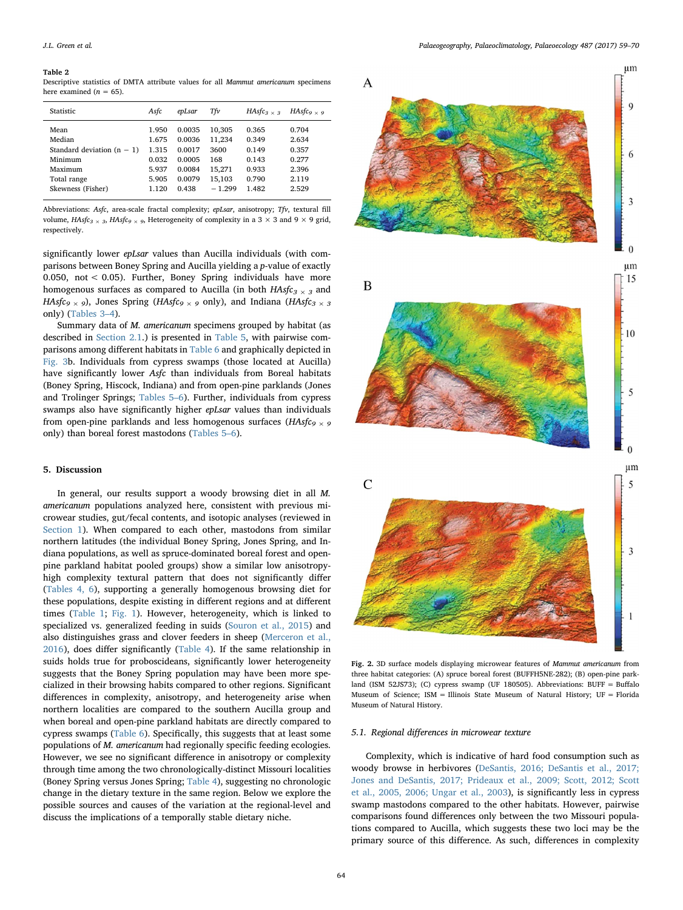<span id="page-5-0"></span>Descriptive statistics of DMTA attribute values for all Mammut americanum specimens here examined  $(n = 65)$ .

| Statistic                    | Asfc  | epLsar | Τfν      | $HAsfc3 \times$ 3 | HAsfc <sub>9 <math>\times</math> 9</sub> |
|------------------------------|-------|--------|----------|-------------------|------------------------------------------|
| Mean                         | 1.950 | 0.0035 | 10.305   | 0.365             | 0.704                                    |
| Median                       | 1.675 | 0.0036 | 11,234   | 0.349             | 2.634                                    |
| Standard deviation $(n - 1)$ | 1.315 | 0.0017 | 3600     | 0.149             | 0.357                                    |
| Minimum                      | 0.032 | 0.0005 | 168      | 0.143             | 0.277                                    |
| Maximum                      | 5.937 | 0.0084 | 15,271   | 0.933             | 2.396                                    |
| Total range                  | 5.905 | 0.0079 | 15,103   | 0.790             | 2.119                                    |
| Skewness (Fisher)            | 1.120 | 0.438  | $-1.299$ | 1.482             | 2.529                                    |
|                              |       |        |          |                   |                                          |

Abbreviations: Asfc, area-scale fractal complexity; epLsar, anisotropy; Tfv, textural fill volume,  $HAsfc<sub>3</sub> \times$  3,  $HAsfc<sub>9</sub> \times$  9, Heterogeneity of complexity in a 3  $\times$  3 and 9  $\times$  9 grid, respectively.

significantly lower *epLsar* values than Aucilla individuals (with comparisons between Boney Spring and Aucilla yielding a p-value of exactly 0.050, not < 0.05). Further, Boney Spring individuals have more homogenous surfaces as compared to Aucilla (in both  $HAsfc<sub>3</sub> \times 3$  and HAsfc<sub>9</sub> × 9), Jones Spring (HAsfc<sub>9</sub> × 9 only), and Indiana (HAsfc<sub>3</sub> × 3 only) ([Tables 3](#page-7-0)–4).

Summary data of M. americanum specimens grouped by habitat (as described in [Section 2.1.](#page-1-0)) is presented in [Table 5,](#page-8-0) with pairwise comparisons among different habitats in [Table 6](#page-8-1) and graphically depicted in [Fig. 3](#page-6-0)b. Individuals from cypress swamps (those located at Aucilla) have significantly lower Asfc than individuals from Boreal habitats (Boney Spring, Hiscock, Indiana) and from open-pine parklands (Jones and Trolinger Springs; [Tables 5](#page-8-0)–6). Further, individuals from cypress swamps also have significantly higher epLsar values than individuals from open-pine parklands and less homogenous surfaces ( $HAsfc_9 \rightarrow 9$ only) than boreal forest mastodons ([Tables 5](#page-8-0)–6).

#### 5. Discussion

In general, our results support a woody browsing diet in all M. americanum populations analyzed here, consistent with previous microwear studies, gut/fecal contents, and isotopic analyses (reviewed in [Section 1](#page-0-3)). When compared to each other, mastodons from similar northern latitudes (the individual Boney Spring, Jones Spring, and Indiana populations, as well as spruce-dominated boreal forest and openpine parkland habitat pooled groups) show a similar low anisotropyhigh complexity textural pattern that does not significantly differ ([Tables 4, 6\)](#page-7-1), supporting a generally homogenous browsing diet for these populations, despite existing in different regions and at different times [\(Table 1](#page-2-0); [Fig. 1](#page-3-0)). However, heterogeneity, which is linked to specialized vs. generalized feeding in suids [\(Souron et al., 2015](#page-11-12)) and also distinguishes grass and clover feeders in sheep [\(Merceron et al.,](#page-10-40) [2016\)](#page-10-40), does differ significantly ([Table 4](#page-7-1)). If the same relationship in suids holds true for proboscideans, significantly lower heterogeneity suggests that the Boney Spring population may have been more specialized in their browsing habits compared to other regions. Significant differences in complexity, anisotropy, and heterogeneity arise when northern localities are compared to the southern Aucilla group and when boreal and open-pine parkland habitats are directly compared to cypress swamps [\(Table 6\)](#page-8-1). Specifically, this suggests that at least some populations of M. americanum had regionally specific feeding ecologies. However, we see no significant difference in anisotropy or complexity through time among the two chronologically-distinct Missouri localities (Boney Spring versus Jones Spring; [Table 4](#page-7-1)), suggesting no chronologic change in the dietary texture in the same region. Below we explore the possible sources and causes of the variation at the regional-level and discuss the implications of a temporally stable dietary niche.

<span id="page-5-1"></span>

Fig. 2. 3D surface models displaying microwear features of Mammut americanum from three habitat categories: (A) spruce boreal forest (BUFFH5NE-282); (B) open-pine parkland (ISM 52JS73); (C) cypress swamp (UF 180505). Abbreviations: BUFF = Buffalo Museum of Science; ISM = Illinois State Museum of Natural History; UF = Florida Museum of Natural History.

#### 5.1. Regional differences in microwear texture

Complexity, which is indicative of hard food consumption such as woody browse in herbivores ([DeSantis, 2016; DeSantis et al., 2017;](#page-9-3) [Jones and DeSantis, 2017; Prideaux et al., 2009; Scott, 2012; Scott](#page-9-3) [et al., 2005, 2006; Ungar et al., 2003\)](#page-9-3), is significantly less in cypress swamp mastodons compared to the other habitats. However, pairwise comparisons found differences only between the two Missouri populations compared to Aucilla, which suggests these two loci may be the primary source of this difference. As such, differences in complexity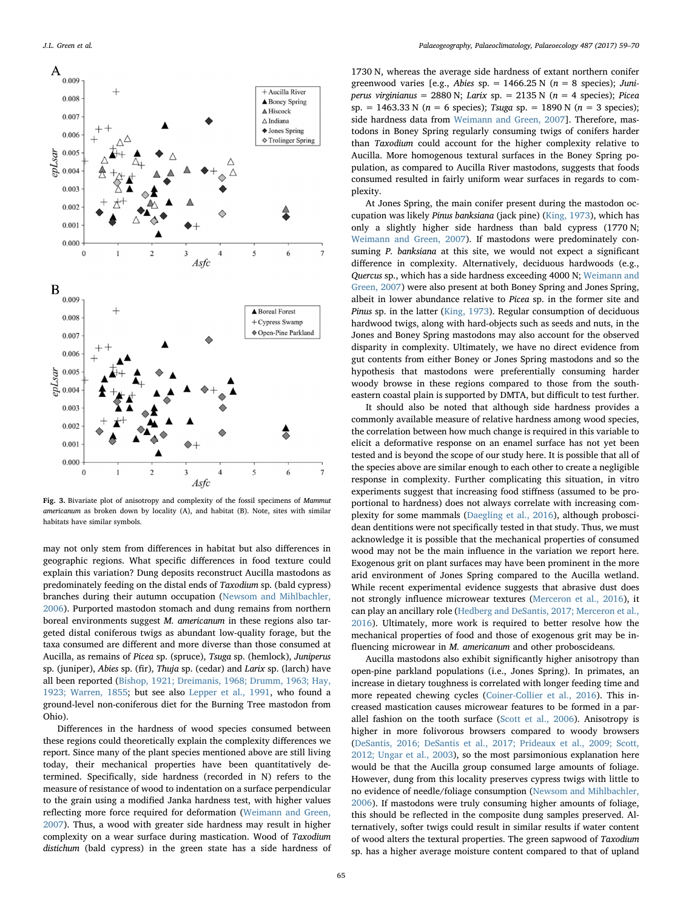<span id="page-6-0"></span>

Fig. 3. Bivariate plot of anisotropy and complexity of the fossil specimens of Mammut americanum as broken down by locality (A), and habitat (B). Note, sites with similar habitats have similar symbols.

may not only stem from differences in habitat but also differences in geographic regions. What specific differences in food texture could explain this variation? Dung deposits reconstruct Aucilla mastodons as predominately feeding on the distal ends of Taxodium sp. (bald cypress) branches during their autumn occupation [\(Newsom and Mihlbachler,](#page-10-6) [2006\)](#page-10-6). Purported mastodon stomach and dung remains from northern boreal environments suggest M. americanum in these regions also targeted distal coniferous twigs as abundant low-quality forage, but the taxa consumed are different and more diverse than those consumed at Aucilla, as remains of Picea sp. (spruce), Tsuga sp. (hemlock), Juniperus sp. (juniper), Abies sp. (fir), Thuja sp. (cedar) and Larix sp. (larch) have all been reported ([Bishop, 1921; Dreimanis, 1968; Drumm, 1963; Hay,](#page-9-9) [1923; Warren, 1855;](#page-9-9) but see also [Lepper et al., 1991,](#page-10-0) who found a ground-level non-coniferous diet for the Burning Tree mastodon from Ohio).

Differences in the hardness of wood species consumed between these regions could theoretically explain the complexity differences we report. Since many of the plant species mentioned above are still living today, their mechanical properties have been quantitatively determined. Specifically, side hardness (recorded in N) refers to the measure of resistance of wood to indentation on a surface perpendicular to the grain using a modified Janka hardness test, with higher values reflecting more force required for deformation [\(Weimann and Green,](#page-11-13) [2007\)](#page-11-13). Thus, a wood with greater side hardness may result in higher complexity on a wear surface during mastication. Wood of Taxodium distichum (bald cypress) in the green state has a side hardness of 1730 N, whereas the average side hardness of extant northern conifer greenwood varies [e.g., Abies sp. = 1466.25 N ( $n = 8$  species); Juniperus virginianus = 2880 N; Larix sp. = 2135 N ( $n = 4$  species); Picea sp. = 1463.33 N ( $n = 6$  species); Tsuga sp. = 1890 N ( $n = 3$  species); side hardness data from [Weimann and Green, 2007\]](#page-11-13). Therefore, mastodons in Boney Spring regularly consuming twigs of conifers harder than Taxodium could account for the higher complexity relative to Aucilla. More homogenous textural surfaces in the Boney Spring population, as compared to Aucilla River mastodons, suggests that foods consumed resulted in fairly uniform wear surfaces in regards to complexity.

At Jones Spring, the main conifer present during the mastodon occupation was likely Pinus banksiana (jack pine) [\(King, 1973\)](#page-10-23), which has only a slightly higher side hardness than bald cypress (1770 N; [Weimann and Green, 2007](#page-11-13)). If mastodons were predominately consuming P. banksiana at this site, we would not expect a significant difference in complexity. Alternatively, deciduous hardwoods (e.g., Quercus sp., which has a side hardness exceeding 4000 N; [Weimann and](#page-11-13) [Green, 2007](#page-11-13)) were also present at both Boney Spring and Jones Spring, albeit in lower abundance relative to Picea sp. in the former site and Pinus sp. in the latter ([King, 1973\)](#page-10-23). Regular consumption of deciduous hardwood twigs, along with hard-objects such as seeds and nuts, in the Jones and Boney Spring mastodons may also account for the observed disparity in complexity. Ultimately, we have no direct evidence from gut contents from either Boney or Jones Spring mastodons and so the hypothesis that mastodons were preferentially consuming harder woody browse in these regions compared to those from the southeastern coastal plain is supported by DMTA, but difficult to test further.

It should also be noted that although side hardness provides a commonly available measure of relative hardness among wood species, the correlation between how much change is required in this variable to elicit a deformative response on an enamel surface has not yet been tested and is beyond the scope of our study here. It is possible that all of the species above are similar enough to each other to create a negligible response in complexity. Further complicating this situation, in vitro experiments suggest that increasing food stiffness (assumed to be proportional to hardness) does not always correlate with increasing complexity for some mammals ([Daegling et al., 2016\)](#page-9-10), although proboscidean dentitions were not specifically tested in that study. Thus, we must acknowledge it is possible that the mechanical properties of consumed wood may not be the main influence in the variation we report here. Exogenous grit on plant surfaces may have been prominent in the more arid environment of Jones Spring compared to the Aucilla wetland. While recent experimental evidence suggests that abrasive dust does not strongly influence microwear textures ([Merceron et al., 2016\)](#page-10-40), it can play an ancillary role [\(Hedberg and DeSantis, 2017; Merceron et al.,](#page-10-41) [2016\)](#page-10-41). Ultimately, more work is required to better resolve how the mechanical properties of food and those of exogenous grit may be influencing microwear in M. americanum and other proboscideans.

Aucilla mastodons also exhibit significantly higher anisotropy than open-pine parkland populations (i.e., Jones Spring). In primates, an increase in dietary toughness is correlated with longer feeding time and more repeated chewing cycles [\(Coiner-Collier et al., 2016](#page-9-11)). This increased mastication causes microwear features to be formed in a parallel fashion on the tooth surface [\(Scott et al., 2006\)](#page-10-37). Anisotropy is higher in more folivorous browsers compared to woody browsers ([DeSantis, 2016; DeSantis et al., 2017; Prideaux et al., 2009; Scott,](#page-9-3) [2012; Ungar et al., 2003](#page-9-3)), so the most parsimonious explanation here would be that the Aucilla group consumed large amounts of foliage. However, dung from this locality preserves cypress twigs with little to no evidence of needle/foliage consumption ([Newsom and Mihlbachler,](#page-10-6) [2006\)](#page-10-6). If mastodons were truly consuming higher amounts of foliage, this should be reflected in the composite dung samples preserved. Alternatively, softer twigs could result in similar results if water content of wood alters the textural properties. The green sapwood of Taxodium sp. has a higher average moisture content compared to that of upland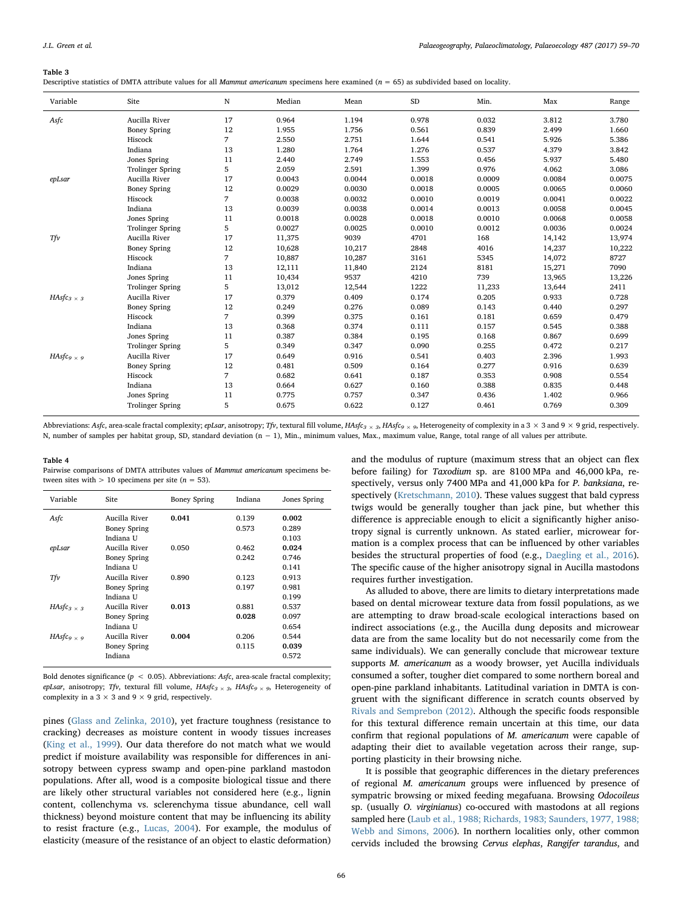#### <span id="page-7-0"></span>Table 3

Descriptive statistics of DMTA attribute values for all *Mammut americanum* specimens here examined ( $n = 65$ ) as subdivided based on locality.

| Variable                                 | Site                    | $\mathbf N$    | Median | Mean   | SD     | Min.   | Max    | Range  |
|------------------------------------------|-------------------------|----------------|--------|--------|--------|--------|--------|--------|
| Asfc                                     | Aucilla River           | 17             | 0.964  | 1.194  | 0.978  | 0.032  | 3.812  | 3.780  |
|                                          | <b>Boney Spring</b>     | 12             | 1.955  | 1.756  | 0.561  | 0.839  | 2.499  | 1.660  |
|                                          | Hiscock                 | $\overline{7}$ | 2.550  | 2.751  | 1.644  | 0.541  | 5.926  | 5.386  |
|                                          | Indiana                 | 13             | 1.280  | 1.764  | 1.276  | 0.537  | 4.379  | 3.842  |
|                                          | Jones Spring            | 11             | 2.440  | 2.749  | 1.553  | 0.456  | 5.937  | 5.480  |
|                                          | <b>Trolinger Spring</b> | 5              | 2.059  | 2.591  | 1.399  | 0.976  | 4.062  | 3.086  |
| epLsar                                   | Aucilla River           | 17             | 0.0043 | 0.0044 | 0.0018 | 0.0009 | 0.0084 | 0.0075 |
|                                          | <b>Boney Spring</b>     | 12             | 0.0029 | 0.0030 | 0.0018 | 0.0005 | 0.0065 | 0.0060 |
|                                          | Hiscock                 | 7              | 0.0038 | 0.0032 | 0.0010 | 0.0019 | 0.0041 | 0.0022 |
|                                          | Indiana                 | 13             | 0.0039 | 0.0038 | 0.0014 | 0.0013 | 0.0058 | 0.0045 |
|                                          | Jones Spring            | 11             | 0.0018 | 0.0028 | 0.0018 | 0.0010 | 0.0068 | 0.0058 |
|                                          | <b>Trolinger Spring</b> | 5              | 0.0027 | 0.0025 | 0.0010 | 0.0012 | 0.0036 | 0.0024 |
| Tfv                                      | Aucilla River           | 17             | 11,375 | 9039   | 4701   | 168    | 14,142 | 13,974 |
|                                          | <b>Boney Spring</b>     | 12             | 10,628 | 10,217 | 2848   | 4016   | 14,237 | 10,222 |
|                                          | Hiscock                 | 7              | 10,887 | 10,287 | 3161   | 5345   | 14,072 | 8727   |
|                                          | Indiana                 | 13             | 12,111 | 11,840 | 2124   | 8181   | 15,271 | 7090   |
|                                          | Jones Spring            | 11             | 10,434 | 9537   | 4210   | 739    | 13,965 | 13,226 |
|                                          | <b>Trolinger Spring</b> | 5              | 13,012 | 12,544 | 1222   | 11,233 | 13,644 | 2411   |
| HAsfc <sub>3 <math>\times</math> 3</sub> | Aucilla River           | 17             | 0.379  | 0.409  | 0.174  | 0.205  | 0.933  | 0.728  |
|                                          | <b>Boney Spring</b>     | 12             | 0.249  | 0.276  | 0.089  | 0.143  | 0.440  | 0.297  |
|                                          | Hiscock                 | 7              | 0.399  | 0.375  | 0.161  | 0.181  | 0.659  | 0.479  |
|                                          | Indiana                 | 13             | 0.368  | 0.374  | 0.111  | 0.157  | 0.545  | 0.388  |
|                                          | Jones Spring            | 11             | 0.387  | 0.384  | 0.195  | 0.168  | 0.867  | 0.699  |
|                                          | <b>Trolinger Spring</b> | 5              | 0.349  | 0.347  | 0.090  | 0.255  | 0.472  | 0.217  |
| HAsfc <sub>9 <math>\times</math> 9</sub> | Aucilla River           | 17             | 0.649  | 0.916  | 0.541  | 0.403  | 2.396  | 1.993  |
|                                          | <b>Boney Spring</b>     | 12             | 0.481  | 0.509  | 0.164  | 0.277  | 0.916  | 0.639  |
|                                          | Hiscock                 | $\overline{7}$ | 0.682  | 0.641  | 0.187  | 0.353  | 0.908  | 0.554  |
|                                          | Indiana                 | 13             | 0.664  | 0.627  | 0.160  | 0.388  | 0.835  | 0.448  |
|                                          | Jones Spring            | 11             | 0.775  | 0.757  | 0.347  | 0.436  | 1.402  | 0.966  |
|                                          | <b>Trolinger Spring</b> | 5              | 0.675  | 0.622  | 0.127  | 0.461  | 0.769  | 0.309  |
|                                          |                         |                |        |        |        |        |        |        |

Abbreviations: Asfc, area-scale fractal complexity; epLsar, anisotropy; Tfv, textural fill volume, HAsfc<sub>3×3</sub>, HAsfc<sub>9×9</sub>, Heterogeneity of complexity in a 3 × 3 and 9 × 9 grid, respectively. N, number of samples per habitat group, SD, standard deviation (n − 1), Min., minimum values, Max., maximum value, Range, total range of all values per attribute.

#### <span id="page-7-1"></span>Table 4

Pairwise comparisons of DMTA attributes values of Mammut americanum specimens between sites with  $> 10$  specimens per site ( $n = 53$ ).

| Variable                                 | <b>Site</b>         | <b>Boney Spring</b> | Indiana | Jones Spring |
|------------------------------------------|---------------------|---------------------|---------|--------------|
| Asfc                                     | Aucilla River       | 0.041               | 0.139   | 0.002        |
|                                          | <b>Boney Spring</b> |                     | 0.573   | 0.289        |
|                                          | Indiana U           |                     |         | 0.103        |
| epLsar                                   | Aucilla River       | 0.050               | 0.462   | 0.024        |
|                                          | <b>Boney Spring</b> |                     | 0.242   | 0.746        |
|                                          | Indiana U           |                     |         | 0.141        |
| Tfv                                      | Aucilla River       | 0.890               | 0.123   | 0.913        |
|                                          | <b>Boney Spring</b> |                     | 0.197   | 0.981        |
|                                          | Indiana U           |                     |         | 0.199        |
| HAsfc <sub>3 <math>\times</math> 3</sub> | Aucilla River       | 0.013               | 0.881   | 0.537        |
|                                          | <b>Boney Spring</b> |                     | 0.028   | 0.097        |
|                                          | Indiana U           |                     |         | 0.654        |
| HAsfc <sub>9 <math>\times</math> 9</sub> | Aucilla River       | 0.004               | 0.206   | 0.544        |
|                                          | <b>Boney Spring</b> |                     | 0.115   | 0.039        |
|                                          | Indiana             |                     |         | 0.572        |
|                                          |                     |                     |         |              |

Bold denotes significance ( $p < 0.05$ ). Abbreviations: Asfc, area-scale fractal complexity; epLsar, anisotropy; Tfv, textural fill volume,  $HAsfc<sub>3</sub> \times$ <sub>3</sub>,  $HAsfc<sub>9</sub> \times$ <sub>9</sub>, Heterogeneity of complexity in a  $3 \times 3$  and  $9 \times 9$  grid, respectively.

pines [\(Glass and Zelinka, 2010](#page-10-42)), yet fracture toughness (resistance to cracking) decreases as moisture content in woody tissues increases ([King et al., 1999\)](#page-10-43). Our data therefore do not match what we would predict if moisture availability was responsible for differences in anisotropy between cypress swamp and open-pine parkland mastodon populations. After all, wood is a composite biological tissue and there are likely other structural variables not considered here (e.g., lignin content, collenchyma vs. sclerenchyma tissue abundance, cell wall thickness) beyond moisture content that may be influencing its ability to resist fracture (e.g., [Lucas, 2004](#page-10-44)). For example, the modulus of elasticity (measure of the resistance of an object to elastic deformation)

and the modulus of rupture (maximum stress that an object can flex before failing) for Taxodium sp. are 8100 MPa and 46,000 kPa, respectively, versus only 7400 MPa and 41,000 kPa for P. banksiana, respectively ([Kretschmann, 2010](#page-10-45)). These values suggest that bald cypress twigs would be generally tougher than jack pine, but whether this difference is appreciable enough to elicit a significantly higher anisotropy signal is currently unknown. As stated earlier, microwear formation is a complex process that can be influenced by other variables besides the structural properties of food (e.g., [Daegling et al., 2016](#page-9-10)). The specific cause of the higher anisotropy signal in Aucilla mastodons requires further investigation.

As alluded to above, there are limits to dietary interpretations made based on dental microwear texture data from fossil populations, as we are attempting to draw broad-scale ecological interactions based on indirect associations (e.g., the Aucilla dung deposits and microwear data are from the same locality but do not necessarily come from the same individuals). We can generally conclude that microwear texture supports M. americanum as a woody browser, yet Aucilla individuals consumed a softer, tougher diet compared to some northern boreal and open-pine parkland inhabitants. Latitudinal variation in DMTA is congruent with the significant difference in scratch counts observed by [Rivals and Semprebon \(2012\).](#page-10-27) Although the specific foods responsible for this textural difference remain uncertain at this time, our data confirm that regional populations of M. americanum were capable of adapting their diet to available vegetation across their range, supporting plasticity in their browsing niche.

It is possible that geographic differences in the dietary preferences of regional M. americanum groups were influenced by presence of sympatric browsing or mixed feeding megafuana. Browsing Odocoileus sp. (usually O. virginianus) co-occured with mastodons at all regions sampled here [\(Laub et al., 1988; Richards, 1983; Saunders, 1977, 1988;](#page-10-46) [Webb and Simons, 2006\)](#page-10-46). In northern localities only, other common cervids included the browsing Cervus elephas, Rangifer tarandus, and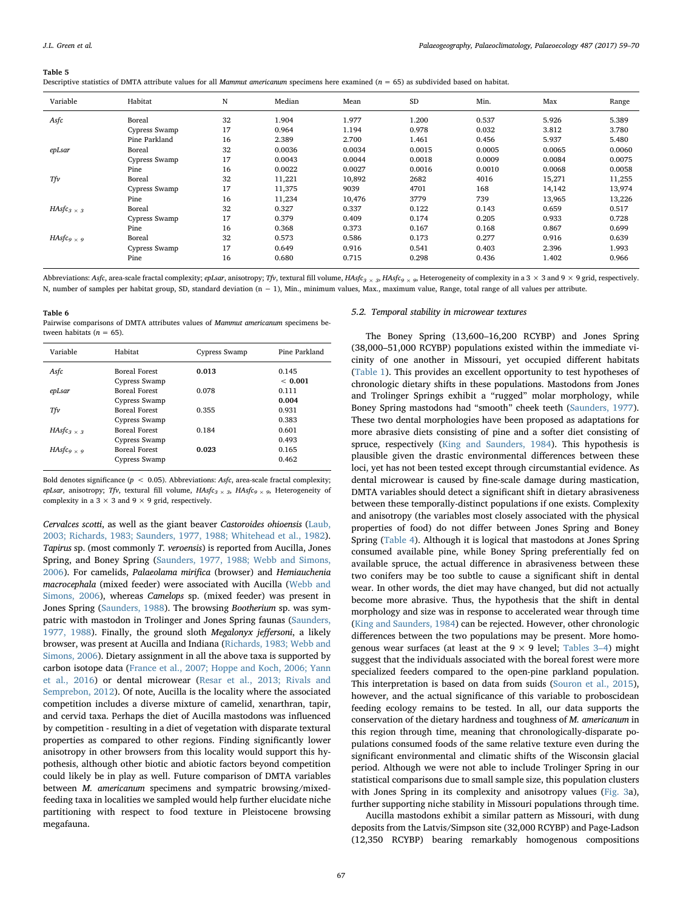#### <span id="page-8-0"></span>Table 5

|  |  |  |  | Descriptive statistics of DMTA attribute values for all <i>Mammut americanum</i> specimens here examined ( $n = 65$ ) as subdivided based on habitat. |  |  |  |
|--|--|--|--|-------------------------------------------------------------------------------------------------------------------------------------------------------|--|--|--|
|  |  |  |  |                                                                                                                                                       |  |  |  |

| Variable                                 | Habitat       | N  | Median | Mean   | <b>SD</b> | Min.   | Max    | Range  |
|------------------------------------------|---------------|----|--------|--------|-----------|--------|--------|--------|
| Asfc                                     | Boreal        | 32 | 1.904  | 1.977  | 1.200     | 0.537  | 5.926  | 5.389  |
|                                          | Cypress Swamp | 17 | 0.964  | 1.194  | 0.978     | 0.032  | 3.812  | 3.780  |
|                                          | Pine Parkland | 16 | 2.389  | 2.700  | 1.461     | 0.456  | 5.937  | 5.480  |
| epLsar                                   | Boreal        | 32 | 0.0036 | 0.0034 | 0.0015    | 0.0005 | 0.0065 | 0.0060 |
|                                          | Cypress Swamp | 17 | 0.0043 | 0.0044 | 0.0018    | 0.0009 | 0.0084 | 0.0075 |
|                                          | Pine          | 16 | 0.0022 | 0.0027 | 0.0016    | 0.0010 | 0.0068 | 0.0058 |
| Tfv                                      | Boreal        | 32 | 11,221 | 10,892 | 2682      | 4016   | 15,271 | 11,255 |
|                                          | Cypress Swamp | 17 | 11,375 | 9039   | 4701      | 168    | 14,142 | 13,974 |
|                                          | Pine          | 16 | 11,234 | 10,476 | 3779      | 739    | 13,965 | 13,226 |
| $HAsfc_{3\times 3}$                      | Boreal        | 32 | 0.327  | 0.337  | 0.122     | 0.143  | 0.659  | 0.517  |
|                                          | Cypress Swamp | 17 | 0.379  | 0.409  | 0.174     | 0.205  | 0.933  | 0.728  |
|                                          | Pine          | 16 | 0.368  | 0.373  | 0.167     | 0.168  | 0.867  | 0.699  |
| HAsfc <sub>9 <math>\times</math> 9</sub> | Boreal        | 32 | 0.573  | 0.586  | 0.173     | 0.277  | 0.916  | 0.639  |
|                                          | Cypress Swamp | 17 | 0.649  | 0.916  | 0.541     | 0.403  | 2.396  | 1.993  |
|                                          | Pine          | 16 | 0.680  | 0.715  | 0.298     | 0.436  | 1.402  | 0.966  |

Abbreviations: Asfc, area-scale fractal complexity; epLsar, anisotropy; Tfv, textural fill volume, HAsfc<sub>3</sub> × 3, HAsfc<sub>9</sub> × 9, Heterogeneity of complexity in a 3 × 3 and 9 × 9 grid, respectively. N, number of samples per habitat group, SD, standard deviation (n − 1), Min., minimum values, Max., maximum value, Range, total range of all values per attribute.

#### <span id="page-8-1"></span>Table 6

Pairwise comparisons of DMTA attributes values of Mammut americanum specimens between habitats  $(n = 65)$ .

| Variable                                 | Habitat              | Cypress Swamp | Pine Parkland |
|------------------------------------------|----------------------|---------------|---------------|
| Asfc                                     | <b>Boreal Forest</b> | 0.013         | 0.145         |
|                                          | Cypress Swamp        |               | < 0.001       |
| epLsar                                   | <b>Boreal Forest</b> | 0.078         | 0.111         |
|                                          | Cypress Swamp        |               | 0.004         |
| Tfv                                      | <b>Boreal Forest</b> | 0.355         | 0.931         |
|                                          | Cypress Swamp        |               | 0.383         |
| $HAsfc3 \times$ 3                        | <b>Boreal Forest</b> | 0.184         | 0.601         |
|                                          | Cypress Swamp        |               | 0.493         |
| HAsfc <sub>9 <math>\times</math> 9</sub> | <b>Boreal Forest</b> | 0.023         | 0.165         |
|                                          | Cypress Swamp        |               | 0.462         |

Bold denotes significance ( $p < 0.05$ ). Abbreviations: Asfc, area-scale fractal complexity; epLsar, anisotropy; Tfv, textural fill volume,  $HAsfc<sub>3</sub> \times$ <sub>3</sub>,  $HAsfc<sub>9</sub> \times$ <sub>9</sub>, Heterogeneity of complexity in a  $3 \times 3$  and  $9 \times 9$  grid, respectively.

Cervalces scotti, as well as the giant beaver Castoroides ohioensis [\(Laub,](#page-10-24) [2003; Richards, 1983; Saunders, 1977, 1988; Whitehead et al., 1982](#page-10-24)). Tapirus sp. (most commonly T. veroensis) is reported from Aucilla, Jones Spring, and Boney Spring ([Saunders, 1977, 1988; Webb and Simons,](#page-10-22) [2006\)](#page-10-22). For camelids, Palaeolama mirifica (browser) and Hemiauchenia macrocephala (mixed feeder) were associated with Aucilla [\(Webb and](#page-11-4) [Simons, 2006\)](#page-11-4), whereas Camelops sp. (mixed feeder) was present in Jones Spring ([Saunders, 1988](#page-10-47)). The browsing Bootherium sp. was sympatric with mastodon in Trolinger and Jones Spring faunas [\(Saunders,](#page-10-22) [1977, 1988\)](#page-10-22). Finally, the ground sloth Megalonyx jeffersoni, a likely browser, was present at Aucilla and Indiana [\(Richards, 1983; Webb and](#page-10-48) [Simons, 2006](#page-10-48)). Dietary assignment in all the above taxa is supported by carbon isotope data ([France et al., 2007; Hoppe and Koch, 2006; Yann](#page-10-49) [et al., 2016](#page-10-49)) or dental microwear ([Resar et al., 2013; Rivals and](#page-10-50) [Semprebon, 2012\)](#page-10-50). Of note, Aucilla is the locality where the associated competition includes a diverse mixture of camelid, xenarthran, tapir, and cervid taxa. Perhaps the diet of Aucilla mastodons was influenced by competition - resulting in a diet of vegetation with disparate textural properties as compared to other regions. Finding significantly lower anisotropy in other browsers from this locality would support this hypothesis, although other biotic and abiotic factors beyond competition could likely be in play as well. Future comparison of DMTA variables between M. americanum specimens and sympatric browsing/mixedfeeding taxa in localities we sampled would help further elucidate niche partitioning with respect to food texture in Pleistocene browsing megafauna.

# 5.2. Temporal stability in microwear textures

The Boney Spring (13,600–16,200 RCYBP) and Jones Spring (38,000–51,000 RCYBP) populations existed within the immediate vicinity of one another in Missouri, yet occupied different habitats ([Table 1](#page-2-0)). This provides an excellent opportunity to test hypotheses of chronologic dietary shifts in these populations. Mastodons from Jones and Trolinger Springs exhibit a "rugged" molar morphology, while Boney Spring mastodons had "smooth" cheek teeth [\(Saunders, 1977](#page-10-22)). These two dental morphologies have been proposed as adaptations for more abrasive diets consisting of pine and a softer diet consisting of spruce, respectively ([King and Saunders, 1984\)](#page-10-31). This hypothesis is plausible given the drastic environmental differences between these loci, yet has not been tested except through circumstantial evidence. As dental microwear is caused by fine-scale damage during mastication, DMTA variables should detect a significant shift in dietary abrasiveness between these temporally-distinct populations if one exists. Complexity and anisotropy (the variables most closely associated with the physical properties of food) do not differ between Jones Spring and Boney Spring ([Table 4\)](#page-7-1). Although it is logical that mastodons at Jones Spring consumed available pine, while Boney Spring preferentially fed on available spruce, the actual difference in abrasiveness between these two conifers may be too subtle to cause a significant shift in dental wear. In other words, the diet may have changed, but did not actually become more abrasive. Thus, the hypothesis that the shift in dental morphology and size was in response to accelerated wear through time ([King and Saunders, 1984](#page-10-31)) can be rejected. However, other chronologic differences between the two populations may be present. More homogenous wear surfaces (at least at the  $9 \times 9$  level; [Tables 3](#page-7-0)–4) might suggest that the individuals associated with the boreal forest were more specialized feeders compared to the open-pine parkland population. This interpretation is based on data from suids ([Souron et al., 2015](#page-11-12)), however, and the actual significance of this variable to proboscidean feeding ecology remains to be tested. In all, our data supports the conservation of the dietary hardness and toughness of M. americanum in this region through time, meaning that chronologically-disparate populations consumed foods of the same relative texture even during the significant environmental and climatic shifts of the Wisconsin glacial period. Although we were not able to include Trolinger Spring in our statistical comparisons due to small sample size, this population clusters with Jones Spring in its complexity and anisotropy values [\(Fig. 3](#page-6-0)a), further supporting niche stability in Missouri populations through time.

Aucilla mastodons exhibit a similar pattern as Missouri, with dung deposits from the Latvis/Simpson site (32,000 RCYBP) and Page-Ladson (12,350 RCYBP) bearing remarkably homogenous compositions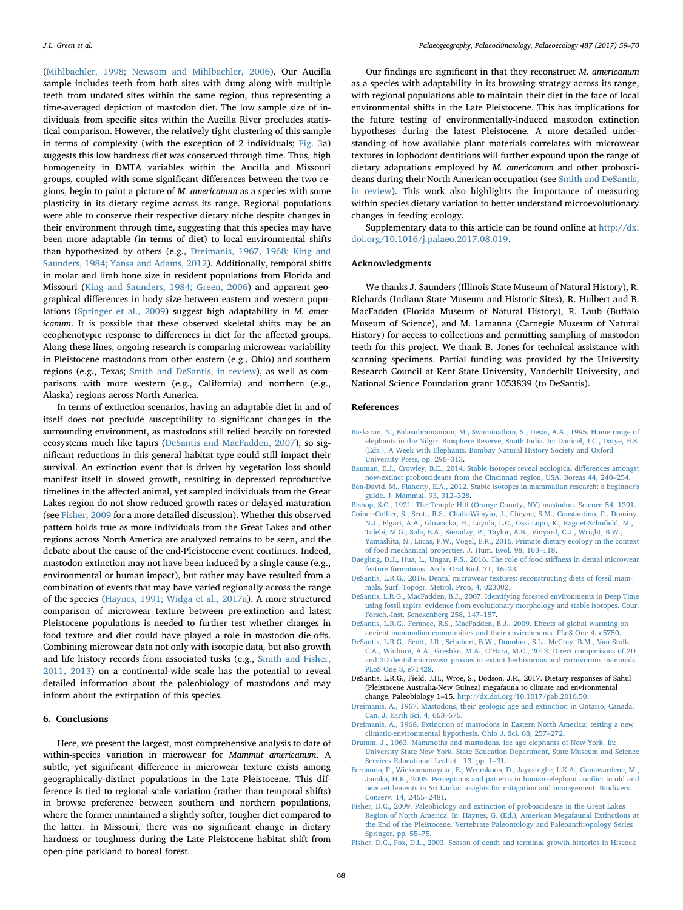([Mihlbachler, 1998; Newsom and Mihlbachler, 2006\)](#page-10-20). Our Aucilla sample includes teeth from both sites with dung along with multiple teeth from undated sites within the same region, thus representing a time-averaged depiction of mastodon diet. The low sample size of individuals from specific sites within the Aucilla River precludes statistical comparison. However, the relatively tight clustering of this sample in terms of complexity (with the exception of 2 individuals; [Fig. 3a](#page-6-0)) suggests this low hardness diet was conserved through time. Thus, high homogeneity in DMTA variables within the Aucilla and Missouri groups, coupled with some significant differences between the two regions, begin to paint a picture of M. americanum as a species with some plasticity in its dietary regime across its range. Regional populations were able to conserve their respective dietary niche despite changes in their environment through time, suggesting that this species may have been more adaptable (in terms of diet) to local environmental shifts than hypothesized by others (e.g., [Dreimanis, 1967, 1968; King and](#page-9-12) [Saunders, 1984; Yansa and Adams, 2012\)](#page-9-12). Additionally, temporal shifts in molar and limb bone size in resident populations from Florida and Missouri [\(King and Saunders, 1984; Green, 2006](#page-10-31)) and apparent geographical differences in body size between eastern and western populations ([Springer et al., 2009](#page-11-14)) suggest high adaptability in M. americanum. It is possible that these observed skeletal shifts may be an ecophenotypic response to differences in diet for the affected groups. Along these lines, ongoing research is comparing microwear variability in Pleistocene mastodons from other eastern (e.g., Ohio) and southern regions (e.g., Texas; [Smith and DeSantis, in review\)](#page-10-51), as well as comparisons with more western (e.g., California) and northern (e.g., Alaska) regions across North America.

In terms of extinction scenarios, having an adaptable diet in and of itself does not preclude susceptibility to significant changes in the surrounding environment, as mastodons still relied heavily on forested ecosystems much like tapirs [\(DeSantis and MacFadden, 2007\)](#page-9-13), so significant reductions in this general habitat type could still impact their survival. An extinction event that is driven by vegetation loss should manifest itself in slowed growth, resulting in depressed reproductive timelines in the affected animal, yet sampled individuals from the Great Lakes region do not show reduced growth rates or delayed maturation (see [Fisher, 2009](#page-9-14) for a more detailed discussion). Whether this observed pattern holds true as more individuals from the Great Lakes and other regions across North America are analyzed remains to be seen, and the debate about the cause of the end-Pleistocene event continues. Indeed, mastodon extinction may not have been induced by a single cause (e.g., environmental or human impact), but rather may have resulted from a combination of events that may have varied regionally across the range of the species ([Haynes, 1991; Widga et al., 2017a\)](#page-10-15). A more structured comparison of microwear texture between pre-extinction and latest Pleistocene populations is needed to further test whether changes in food texture and diet could have played a role in mastodon die-offs. Combining microwear data not only with isotopic data, but also growth and life history records from associated tusks (e.g., [Smith and Fisher,](#page-10-52) [2011, 2013](#page-10-52)) on a continental-wide scale has the potential to reveal detailed information about the paleobiology of mastodons and may inform about the extirpation of this species.

#### 6. Conclusions

Here, we present the largest, most comprehensive analysis to date of within-species variation in microwear for Mammut americanum. A subtle, yet significant difference in microwear texture exists among geographically-distinct populations in the Late Pleistocene. This difference is tied to regional-scale variation (rather than temporal shifts) in browse preference between southern and northern populations, where the former maintained a slightly softer, tougher diet compared to the latter. In Missouri, there was no significant change in dietary hardness or toughness during the Late Pleistocene habitat shift from open-pine parkland to boreal forest.

Our findings are significant in that they reconstruct M. americanum as a species with adaptability in its browsing strategy across its range, with regional populations able to maintain their diet in the face of local environmental shifts in the Late Pleistocene. This has implications for the future testing of environmentally-induced mastodon extinction hypotheses during the latest Pleistocene. A more detailed understanding of how available plant materials correlates with microwear textures in lophodont dentitions will further expound upon the range of dietary adaptations employed by M. americanum and other proboscideans during their North American occupation (see [Smith and DeSantis,](#page-10-51) [in review\)](#page-10-51). This work also highlights the importance of measuring within-species dietary variation to better understand microevolutionary changes in feeding ecology.

Supplementary data to this article can be found online at [http://dx.](http://dx.doi.org/10.1016/j.palaeo.2017.08.019) [doi.org/10.1016/j.palaeo.2017.08.019.](http://dx.doi.org/10.1016/j.palaeo.2017.08.019)

# Acknowledgments

We thanks J. Saunders (Illinois State Museum of Natural History), R. Richards (Indiana State Museum and Historic Sites), R. Hulbert and B. MacFadden (Florida Museum of Natural History), R. Laub (Buffalo Museum of Science), and M. Lamanna (Carnegie Museum of Natural History) for access to collections and permitting sampling of mastodon teeth for this project. We thank B. Jones for technical assistance with scanning specimens. Partial funding was provided by the University Research Council at Kent State University, Vanderbilt University, and National Science Foundation grant 1053839 (to DeSantis).

#### References

- <span id="page-9-4"></span>[Baskaran, N., Balasubramaniam, M., Swaminathan, S., Desai, A.A., 1995. Home range of](http://refhub.elsevier.com/S0031-0182(17)30401-7/rf0005) [elephants in the Nilgiri Biosphere Reserve, South India. In: Danicel, J.C., Datye, H.S.](http://refhub.elsevier.com/S0031-0182(17)30401-7/rf0005) [\(Eds.\), A Week with Elephants. Bombay Natural History Society and Oxford](http://refhub.elsevier.com/S0031-0182(17)30401-7/rf0005) [University Press, pp. 296](http://refhub.elsevier.com/S0031-0182(17)30401-7/rf0005)–313.
- <span id="page-9-0"></span>[Bauman, E.J., Crowley, B.E., 2014. Stable isotopes reveal ecological di](http://refhub.elsevier.com/S0031-0182(17)30401-7/rf0010)fferences amongst [now-extinct proboscideans from the Cincinnati region, USA. Boreas 44, 240](http://refhub.elsevier.com/S0031-0182(17)30401-7/rf0010)–254.
- <span id="page-9-6"></span>[Ben-David, M., Flaherty, E.A., 2012. Stable isotopes in mammalian research: a beginner's](http://refhub.elsevier.com/S0031-0182(17)30401-7/rf0015) [guide. J. Mammal. 93, 312](http://refhub.elsevier.com/S0031-0182(17)30401-7/rf0015)–328.
- <span id="page-9-11"></span><span id="page-9-9"></span>[Bishop, S.C., 1921. The Temple Hill \(Orange County, NY\) mastodon. Science 54, 1391](http://refhub.elsevier.com/S0031-0182(17)30401-7/rf0020). [Coiner-Collier, S., Scott, R.S., Chalk-Wilayto, J., Cheyne, S.M., Constantino, P., Dominy,](http://refhub.elsevier.com/S0031-0182(17)30401-7/rf0025)
- [N.J., Elgart, A.A., Glowacka, H., Loyola, L.C., Ossi-Lupo, K., Raguet-Scho](http://refhub.elsevier.com/S0031-0182(17)30401-7/rf0025)field, M., [Talebi, M.G., Sala, E.A., Sieradzy, P., Taylor, A.B., Vinyard, C.J., Wright, B.W.,](http://refhub.elsevier.com/S0031-0182(17)30401-7/rf0025) [Yamashita, N., Lucas, P.W., Vogel, E.R., 2016. Primate dietary ecology in the context](http://refhub.elsevier.com/S0031-0182(17)30401-7/rf0025)
- <span id="page-9-10"></span>[of food mechanical properties. J. Hum. Evol. 98, 103](http://refhub.elsevier.com/S0031-0182(17)30401-7/rf0025)–118. [Daegling, D.J., Hua, L., Ungar, P.S., 2016. The role of food sti](http://refhub.elsevier.com/S0031-0182(17)30401-7/rf0030)ffness in dental microwear
- <span id="page-9-3"></span>[feature formations. Arch. Oral Biol. 71, 16](http://refhub.elsevier.com/S0031-0182(17)30401-7/rf0030)–23. [DeSantis, L.R.G., 2016. Dental microwear textures: reconstructing diets of fossil mam-](http://refhub.elsevier.com/S0031-0182(17)30401-7/rf0035)
- <span id="page-9-13"></span>[mals. Surf. Topogr. Metrol. Prop. 4, 023002.](http://refhub.elsevier.com/S0031-0182(17)30401-7/rf0035) [DeSantis, L.R.G., MacFadden, B.J., 2007. Identifying forested environments in Deep Time](http://refhub.elsevier.com/S0031-0182(17)30401-7/rf0040) [using fossil tapirs: evidence from evolutionary morphology and stable isotopes. Cour.](http://refhub.elsevier.com/S0031-0182(17)30401-7/rf0040) [Forsch.-Inst. Senckenberg 258, 147](http://refhub.elsevier.com/S0031-0182(17)30401-7/rf0040)–157.
- <span id="page-9-2"></span>[DeSantis, L.R.G., Feranec, R.S., MacFadden, B.J., 2009. E](http://refhub.elsevier.com/S0031-0182(17)30401-7/rf0045)ffects of global warming on [ancient mammalian communities and their environments. PLoS One 4, e5750](http://refhub.elsevier.com/S0031-0182(17)30401-7/rf0045).
- <span id="page-9-8"></span>[DeSantis, L.R.G., Scott, J.R., Schubert, B.W., Donohue, S.L., McCray, B.M., Van Stolk,](http://refhub.elsevier.com/S0031-0182(17)30401-7/rf0050) [C.A., Winburn, A.A., Greshko, M.A., O'Hara, M.C., 2013. Direct comparisons of 2D](http://refhub.elsevier.com/S0031-0182(17)30401-7/rf0050) [and 3D dental microwear proxies in extant herbivorous and carnivorous mammals.](http://refhub.elsevier.com/S0031-0182(17)30401-7/rf0050) [PLoS One 8, e71428.](http://refhub.elsevier.com/S0031-0182(17)30401-7/rf0050)
- DeSantis, L.R.G., Field, J.H., Wroe, S., Dodson, J.R., 2017. Dietary responses of Sahul (Pleistocene Australia-New Guinea) megafauna to climate and environmental change. Paleobiology 1–15. <http://dx.doi.org/10.1017/pab.2016.50>.
- <span id="page-9-12"></span>[Dreimanis, A., 1967. Mastodons, their geologic age and extinction in Ontario, Canada.](http://refhub.elsevier.com/S0031-0182(17)30401-7/rf0060) [Can. J. Earth Sci. 4, 663](http://refhub.elsevier.com/S0031-0182(17)30401-7/rf0060)–675.
- <span id="page-9-1"></span>[Dreimanis, A., 1968. Extinction of mastodons in Eastern North America: testing a new](http://refhub.elsevier.com/S0031-0182(17)30401-7/rf0065) [climatic-environmental hypothesis. Ohio J. Sci. 68, 257](http://refhub.elsevier.com/S0031-0182(17)30401-7/rf0065)–272.
- [Drumm, J., 1963. Mammoths and mastodons, ice age elephants of New York. In:](http://refhub.elsevier.com/S0031-0182(17)30401-7/rf0070) [University State New York, State Education Department, State Museum and Science](http://refhub.elsevier.com/S0031-0182(17)30401-7/rf0070) [Services Educational Lea](http://refhub.elsevier.com/S0031-0182(17)30401-7/rf0070)flet. 13. pp. 1–31.
- <span id="page-9-5"></span>[Fernando, P., Wickramanayake, E., Weerakoon, D., Jayasinghe, L.K.A., Gunawardene, M.,](http://refhub.elsevier.com/S0031-0182(17)30401-7/rf0075) [Janaka, H.K., 2005. Perceptions and patterns in human](http://refhub.elsevier.com/S0031-0182(17)30401-7/rf0075)–elephant conflict in old and [new settlements in Sri Lanka: insights for mitigation and management. Biodivers.](http://refhub.elsevier.com/S0031-0182(17)30401-7/rf0075) [Conserv. 14, 2465](http://refhub.elsevier.com/S0031-0182(17)30401-7/rf0075)–2481.
- <span id="page-9-14"></span>[Fisher, D.C., 2009. Paleobiology and extinction of proboscideans in the Great Lakes](http://refhub.elsevier.com/S0031-0182(17)30401-7/rf0080) [Region of North America. In: Haynes, G. \(Ed.\), American Megafaunal Extinctions at](http://refhub.elsevier.com/S0031-0182(17)30401-7/rf0080) [the End of the Pleistocene. Vertebrate Paleontology and Paleoanthropology Series](http://refhub.elsevier.com/S0031-0182(17)30401-7/rf0080) [Springer, pp. 55](http://refhub.elsevier.com/S0031-0182(17)30401-7/rf0080)–75.
- <span id="page-9-7"></span>[Fisher, D.C., Fox, D.L., 2003. Season of death and terminal growth histories in Hiscock](http://refhub.elsevier.com/S0031-0182(17)30401-7/rf0085)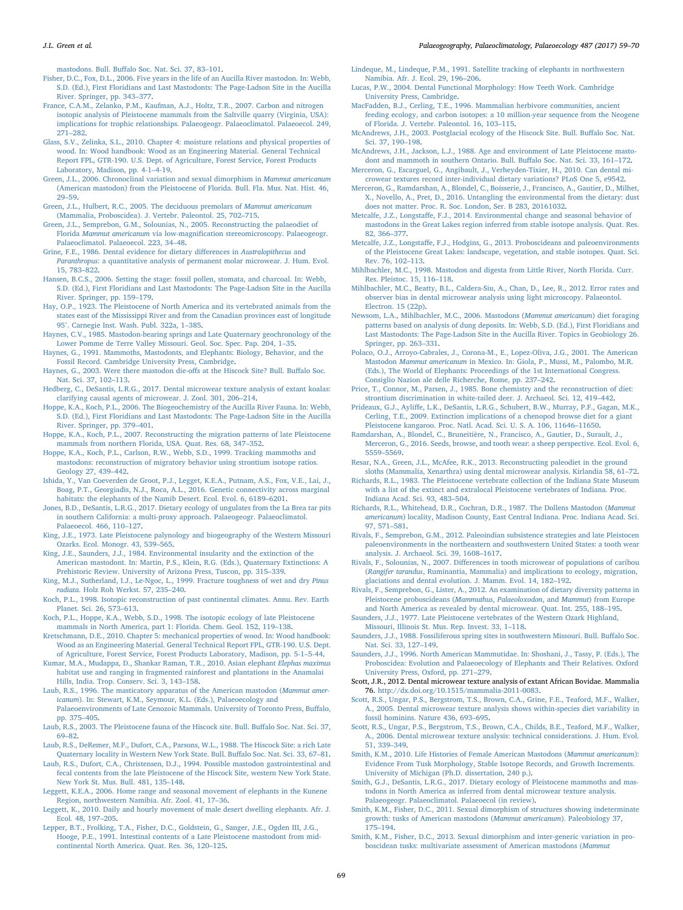mastodons. Bull. Buff[alo Soc. Nat. Sci. 37, 83](http://refhub.elsevier.com/S0031-0182(17)30401-7/rf0085)–101.

- <span id="page-10-19"></span>[Fisher, D.C., Fox, D.L., 2006. Five years in the life of an Aucilla River mastodon. In: Webb,](http://refhub.elsevier.com/S0031-0182(17)30401-7/rf0090) [S.D. \(Ed.\), First Floridians and Last Mastodonts: The Page-Ladson Site in the Aucilla](http://refhub.elsevier.com/S0031-0182(17)30401-7/rf0090) [River. Springer, pp. 343](http://refhub.elsevier.com/S0031-0182(17)30401-7/rf0090)–377.
- <span id="page-10-49"></span>[France, C.A.M., Zelanko, P.M., Kaufman, A.J., Holtz, T.R., 2007. Carbon and nitrogen](http://refhub.elsevier.com/S0031-0182(17)30401-7/rf0095) [isotopic analysis of Pleistocene mammals from the Saltville quarry \(Virginia, USA\):](http://refhub.elsevier.com/S0031-0182(17)30401-7/rf0095) [implications for trophic relationships. Palaeogeogr. Palaeoclimatol. Palaeoecol. 249,](http://refhub.elsevier.com/S0031-0182(17)30401-7/rf0095) 271–[282](http://refhub.elsevier.com/S0031-0182(17)30401-7/rf0095).
- <span id="page-10-42"></span>[Glass, S.V., Zelinka, S.L., 2010. Chapter 4: moisture relations and physical properties of](http://refhub.elsevier.com/S0031-0182(17)30401-7/rf0100) [wood. In: Wood handbook: Wood as an Engineering Material. General Technical](http://refhub.elsevier.com/S0031-0182(17)30401-7/rf0100) [Report FPL, GTR-190. U.S. Dept. of Agriculture, Forest Service, Forest Products](http://refhub.elsevier.com/S0031-0182(17)30401-7/rf0100) [Laboratory, Madison, pp. 4-1](http://refhub.elsevier.com/S0031-0182(17)30401-7/rf0100)–4-19.
- <span id="page-10-35"></span>[Green, J.L., 2006. Chronoclinal variation and sexual dimorphism in](http://refhub.elsevier.com/S0031-0182(17)30401-7/rf0105) Mammut americanum [\(American mastodon\) from the Pleistocene of Florida. Bull. Fla. Mus. Nat. Hist. 46,](http://refhub.elsevier.com/S0031-0182(17)30401-7/rf0105) 29–[59](http://refhub.elsevier.com/S0031-0182(17)30401-7/rf0105).
- <span id="page-10-38"></span>[Green, J.L., Hulbert, R.C., 2005. The deciduous premolars of](http://refhub.elsevier.com/S0031-0182(17)30401-7/rf0110) Mammut americanum [\(Mammalia, Proboscidea\). J. Vertebr. Paleontol. 25, 702](http://refhub.elsevier.com/S0031-0182(17)30401-7/rf0110)–715.
- <span id="page-10-3"></span>[Green, J.L., Semprebon, G.M., Solounias, N., 2005. Reconstructing the palaeodiet of](http://refhub.elsevier.com/S0031-0182(17)30401-7/rf0115) Florida Mammut americanum via low-magnifi[cation stereomicroscopy. Palaeogeogr.](http://refhub.elsevier.com/S0031-0182(17)30401-7/rf0115) [Palaeoclimatol. Palaeoecol. 223, 34](http://refhub.elsevier.com/S0031-0182(17)30401-7/rf0115)–48.
- <span id="page-10-8"></span>[Grine, F.E., 1986. Dental evidence for dietary di](http://refhub.elsevier.com/S0031-0182(17)30401-7/rf0120)fferences in Australopithecus and Paranthropus[: a quantitative analysis of permanent molar microwear. J. Hum. Evol.](http://refhub.elsevier.com/S0031-0182(17)30401-7/rf0120) [15, 783](http://refhub.elsevier.com/S0031-0182(17)30401-7/rf0120)–822.
- <span id="page-10-33"></span>[Hansen, B.C.S., 2006. Setting the stage: fossil pollen, stomata, and charcoal. In: Webb,](http://refhub.elsevier.com/S0031-0182(17)30401-7/rf0125) [S.D. \(Ed.\), First Floridians and Last Mastodonts: The Page-Ladson Site in the Aucilla](http://refhub.elsevier.com/S0031-0182(17)30401-7/rf0125) [River. Springer, pp. 159](http://refhub.elsevier.com/S0031-0182(17)30401-7/rf0125)–179.
- [Hay, O.P., 1923. The Pleistocene of North America and its vertebrated animals from the](http://refhub.elsevier.com/S0031-0182(17)30401-7/rf0130) [states east of the Mississippi River and from the Canadian provinces east of longitude](http://refhub.elsevier.com/S0031-0182(17)30401-7/rf0130) [95°. Carnegie Inst. Wash. Publ. 322a, 1](http://refhub.elsevier.com/S0031-0182(17)30401-7/rf0130)–385.
- <span id="page-10-32"></span>[Haynes, C.V., 1985. Mastodon-bearing springs and Late Quaternary geochronology of the](http://refhub.elsevier.com/S0031-0182(17)30401-7/rf0135) [Lower Pomme de Terre Valley Missouri. Geol. Soc. Spec. Pap. 204, 1](http://refhub.elsevier.com/S0031-0182(17)30401-7/rf0135)–35.
- <span id="page-10-15"></span>[Haynes, G., 1991. Mammoths, Mastodonts, and Elephants: Biology, Behavior, and the](http://refhub.elsevier.com/S0031-0182(17)30401-7/rf0140) [Fossil Record. Cambridge University Press, Cambridge](http://refhub.elsevier.com/S0031-0182(17)30401-7/rf0140).
- <span id="page-10-28"></span>[Haynes, G., 2003. Were there mastodon die-o](http://refhub.elsevier.com/S0031-0182(17)30401-7/rf0145)ffs at the Hiscock Site? Bull. Buffalo Soc. [Nat. Sci. 37, 102](http://refhub.elsevier.com/S0031-0182(17)30401-7/rf0145)–113.
- <span id="page-10-41"></span>[Hedberg, C., DeSantis, L.R.G., 2017. Dental microwear texture analysis of extant koalas:](http://refhub.elsevier.com/S0031-0182(17)30401-7/rf0150) [clarifying causal agents of microwear. J. Zool. 301, 206](http://refhub.elsevier.com/S0031-0182(17)30401-7/rf0150)–214.
- <span id="page-10-18"></span>[Hoppe, K.A., Koch, P.L., 2006. The Biogeochemistry of the Aucilla River Fauna. In: Webb,](http://refhub.elsevier.com/S0031-0182(17)30401-7/rf0155) [S.D. \(Ed.\), First Floridians and Last Mastodonts: The Page-Ladson Site in the Aucilla](http://refhub.elsevier.com/S0031-0182(17)30401-7/rf0155) [River. Springer, pp. 379](http://refhub.elsevier.com/S0031-0182(17)30401-7/rf0155)–401.
- <span id="page-10-21"></span>[Hoppe, K.A., Koch, P.L., 2007. Reconstructing the migration patterns of late Pleistocene](http://refhub.elsevier.com/S0031-0182(17)30401-7/rf0160) [mammals from northern Florida, USA. Quat. Res. 68, 347](http://refhub.elsevier.com/S0031-0182(17)30401-7/rf0160)–352.
- <span id="page-10-17"></span>Hoppe, [K.A., Koch, P.L., Carlson, R.W., Webb, S.D., 1999. Tracking mammoths and](http://refhub.elsevier.com/S0031-0182(17)30401-7/rf0165) [mastodons: reconstruction of migratory behavior using strontium isotope ratios.](http://refhub.elsevier.com/S0031-0182(17)30401-7/rf0165) [Geology 27, 439](http://refhub.elsevier.com/S0031-0182(17)30401-7/rf0165)–442.
- <span id="page-10-14"></span>[Ishida, Y., Van Coeverden de Groot, P.J., Legget, K.E.A., Putnam, A.S., Fox, V.E., Lai, J.,](http://refhub.elsevier.com/S0031-0182(17)30401-7/rf0170) [Boag, P.T., Georgiadis, N.J., Roca, A.L., 2016. Genetic connectivity across marginal](http://refhub.elsevier.com/S0031-0182(17)30401-7/rf0170) [habitats: the elephants of the Namib Desert. Ecol. Evol. 6, 6189](http://refhub.elsevier.com/S0031-0182(17)30401-7/rf0170)–6201.
- <span id="page-10-7"></span>[Jones, B.D., DeSantis, L.R.G., 2017. Dietary ecology of ungulates from the La Brea tar pits](http://refhub.elsevier.com/S0031-0182(17)30401-7/rf0175) [in southern California: a multi-proxy approach. Palaeogeogr. Palaeoclimatol.](http://refhub.elsevier.com/S0031-0182(17)30401-7/rf0175) [Palaeoecol. 466, 110](http://refhub.elsevier.com/S0031-0182(17)30401-7/rf0175)–127.
- <span id="page-10-23"></span>[King, J.E., 1973. Late Pleistocene palynology and biogeography of the Western Missouri](http://refhub.elsevier.com/S0031-0182(17)30401-7/rf0180) [Ozarks. Ecol. Monogr. 43, 539](http://refhub.elsevier.com/S0031-0182(17)30401-7/rf0180)–565.
- <span id="page-10-31"></span>[King, J.E., Saunders, J.J., 1984. Environmental insularity and the extinction of the](http://refhub.elsevier.com/S0031-0182(17)30401-7/rf0185) [American mastodont. In: Martin, P.S., Klein, R.G. \(Eds.\), Quaternary Extinctions: A](http://refhub.elsevier.com/S0031-0182(17)30401-7/rf0185) [Prehistoric Review. University of Arizona Press, Tuscon, pp. 315](http://refhub.elsevier.com/S0031-0182(17)30401-7/rf0185)–339.
- <span id="page-10-43"></span>[King, M.J., Sutherland, I.J., Le-Ngoc, L., 1999. Fracture toughness of wet and dry](http://refhub.elsevier.com/S0031-0182(17)30401-7/rf0190) Pinus radiata[. Holz Roh Werkst. 57, 235](http://refhub.elsevier.com/S0031-0182(17)30401-7/rf0190)–240.
- [Koch, P.L., 1998. Isotopic reconstruction of past continental climates. Annu. Rev. Earth](http://refhub.elsevier.com/S0031-0182(17)30401-7/rf0195) [Planet. Sci. 26, 573](http://refhub.elsevier.com/S0031-0182(17)30401-7/rf0195)–613.
- <span id="page-10-4"></span>[Koch, P.L., Hoppe, K.A., Webb, S.D., 1998. The isotopic ecology of late Pleistocene](http://refhub.elsevier.com/S0031-0182(17)30401-7/rf0200) [mammals in North America, part 1: Florida. Chem. Geol. 152, 119](http://refhub.elsevier.com/S0031-0182(17)30401-7/rf0200)–138.
- <span id="page-10-45"></span>[Kretschmann, D.E., 2010. Chapter 5: mechanical properties of wood. In: Wood handbook:](http://refhub.elsevier.com/S0031-0182(17)30401-7/rf0205) [Wood as an Engineering Material. General Technical Report FPL, GTR-190. U.S. Dept.](http://refhub.elsevier.com/S0031-0182(17)30401-7/rf0205) [of Agriculture, Forest Service, Forest Products Laboratory, Madison, pp. 5-1](http://refhub.elsevier.com/S0031-0182(17)30401-7/rf0205)–5-44.
- <span id="page-10-10"></span>[Kumar, M.A., Mudappa, D., Shankar Raman, T.R., 2010. Asian elephant](http://refhub.elsevier.com/S0031-0182(17)30401-7/rf0210) Elephas maximus [habitat use and ranging in fragmented rainforest and plantations in the Anamalai](http://refhub.elsevier.com/S0031-0182(17)30401-7/rf0210) [Hills, India. Trop. Conserv. Sci. 3, 143](http://refhub.elsevier.com/S0031-0182(17)30401-7/rf0210)–158.
- <span id="page-10-34"></span>[Laub, R.S., 1996. The masticatory apparatus of the American mastodon \(](http://refhub.elsevier.com/S0031-0182(17)30401-7/rf0215)Mammut americanum[\). In: Stewart, K.M., Seymour, K.L. \(Eds.\), Palaeoecology and](http://refhub.elsevier.com/S0031-0182(17)30401-7/rf0215) [Palaeoenvironments of Late Cenozoic Mammals. University of Toronto Press, Bu](http://refhub.elsevier.com/S0031-0182(17)30401-7/rf0215)ffalo, [pp. 375](http://refhub.elsevier.com/S0031-0182(17)30401-7/rf0215)–405.
- <span id="page-10-24"></span>[Laub, R.S., 2003. The Pleistocene fauna of the Hiscock site. Bull. Bu](http://refhub.elsevier.com/S0031-0182(17)30401-7/rf0220)ffalo Soc. Nat. Sci. 37, 69–[82](http://refhub.elsevier.com/S0031-0182(17)30401-7/rf0220).
- <span id="page-10-46"></span>[Laub, R.S., DeRemer, M.F., Dufort, C.A., Parsons, W.L., 1988. The Hiscock Site: a rich Late](http://refhub.elsevier.com/S0031-0182(17)30401-7/rf0225) [Quaternary locality in Western New York State. Bull. Bu](http://refhub.elsevier.com/S0031-0182(17)30401-7/rf0225)ffalo Soc. Nat. Sci. 33, 67–81.
- <span id="page-10-1"></span>[Laub, R.S., Dufort, C.A., Christensen, D.J., 1994. Possible mastodon gastrointestinal and](http://refhub.elsevier.com/S0031-0182(17)30401-7/rf0230) [fecal contents from the late Pleistocene of the Hiscock Site, western New York State.](http://refhub.elsevier.com/S0031-0182(17)30401-7/rf0230) [New York St. Mus. Bull. 481, 135](http://refhub.elsevier.com/S0031-0182(17)30401-7/rf0230)–148.
- <span id="page-10-13"></span>[Leggett, K.E.A., 2006. Home range and seasonal movement of elephants in the Kunene](http://refhub.elsevier.com/S0031-0182(17)30401-7/rf0235) [Region, northwestern Namibia. Afr. Zool. 41, 17](http://refhub.elsevier.com/S0031-0182(17)30401-7/rf0235)–36.
- <span id="page-10-12"></span>[Leggett, K., 2010. Daily and hourly movement of male desert dwelling elephants. Afr. J.](http://refhub.elsevier.com/S0031-0182(17)30401-7/rf0240) [Ecol. 48, 197](http://refhub.elsevier.com/S0031-0182(17)30401-7/rf0240)–205.
- <span id="page-10-0"></span>Lepper, [B.T., Frolking, T.A., Fisher, D.C., Goldstein, G., Sanger, J.E., Ogden III, J.G.,](http://refhub.elsevier.com/S0031-0182(17)30401-7/rf0245) [Hooge, P.E., 1991. Intestinal contents of a Late Pleistocene mastodont from mid](http://refhub.elsevier.com/S0031-0182(17)30401-7/rf0245)[continental North America. Quat. Res. 36, 120](http://refhub.elsevier.com/S0031-0182(17)30401-7/rf0245)–125.
- <span id="page-10-11"></span>[Lindeque, M., Lindeque, P.M., 1991. Satellite tracking of elephants in northwestern](http://refhub.elsevier.com/S0031-0182(17)30401-7/rf0250) [Namibia. Afr. J. Ecol. 29, 196](http://refhub.elsevier.com/S0031-0182(17)30401-7/rf0250)–206.
- <span id="page-10-44"></span>[Lucas, P.W., 2004. Dental Functional Morphology: How Teeth Work. Cambridge](http://refhub.elsevier.com/S0031-0182(17)30401-7/rf0255) [University Press, Cambridge.](http://refhub.elsevier.com/S0031-0182(17)30401-7/rf0255)
- [MacFadden, B.J., Cerling, T.E., 1996. Mammalian herbivore communities, ancient](http://refhub.elsevier.com/S0031-0182(17)30401-7/rf0260) [feeding ecology, and carbon isotopes: a 10 million-year sequence from the Neogene](http://refhub.elsevier.com/S0031-0182(17)30401-7/rf0260) [of Florida. J. Vertebr. Paleontol. 16, 103](http://refhub.elsevier.com/S0031-0182(17)30401-7/rf0260)–115.
- <span id="page-10-25"></span>[McAndrews, J.H., 2003. Postglacial ecology of the Hiscock Site. Bull. Bu](http://refhub.elsevier.com/S0031-0182(17)30401-7/rf0265)ffalo Soc. Nat. [Sci. 37, 190](http://refhub.elsevier.com/S0031-0182(17)30401-7/rf0265)–198.
- [McAndrews, J.H., Jackson, L.J., 1988. Age and environment of Late Pleistocene masto](http://refhub.elsevier.com/S0031-0182(17)30401-7/rf0270)[dont and mammoth in southern Ontario. Bull. Bu](http://refhub.elsevier.com/S0031-0182(17)30401-7/rf0270)ffalo Soc. Nat. Sci. 33, 161–172. [Merceron, G., Escarguel, G., Angibault, J., Verheyden-Tixier, H., 2010. Can dental mi-](http://refhub.elsevier.com/S0031-0182(17)30401-7/rf0275)
- <span id="page-10-9"></span>[crowear textures record inter-individual dietary variations? PLoS One 5, e9542](http://refhub.elsevier.com/S0031-0182(17)30401-7/rf0275). [Merceron, G., Ramdarshan, A., Blondel, C., Boisserie, J., Francisco, A., Gautier, D., Milhet,](http://refhub.elsevier.com/S0031-0182(17)30401-7/rf0280)
- <span id="page-10-40"></span>[X., Novello, A., Pret, D., 2016. Untangling the environmental from the dietary: dust](http://refhub.elsevier.com/S0031-0182(17)30401-7/rf0280) [does not matter. Proc. R. Soc. London, Ser. B 283, 20161032.](http://refhub.elsevier.com/S0031-0182(17)30401-7/rf0280)
- <span id="page-10-5"></span>Metcalfe, J.Z., Longstaff[e, F.J., 2014. Environmental change and seasonal behavior of](http://refhub.elsevier.com/S0031-0182(17)30401-7/rf0285) [mastodons in the Great Lakes region inferred from stable isotope analysis. Quat. Res.](http://refhub.elsevier.com/S0031-0182(17)30401-7/rf0285) [82, 366](http://refhub.elsevier.com/S0031-0182(17)30401-7/rf0285)–377.
- <span id="page-10-26"></span>Metcalfe, J.Z., Longstaff[e, F.J., Hodgins, G., 2013. Proboscideans and paleoenvironments](http://refhub.elsevier.com/S0031-0182(17)30401-7/rf0290) [of the Pleistocene Great Lakes: landscape, vegetation, and stable isotopes. Quat. Sci.](http://refhub.elsevier.com/S0031-0182(17)30401-7/rf0290) [Rev. 76, 102](http://refhub.elsevier.com/S0031-0182(17)30401-7/rf0290)–113.
- <span id="page-10-20"></span>[Mihlbachler, M.C., 1998. Mastodon and digesta from Little River, North Florida. Curr.](http://refhub.elsevier.com/S0031-0182(17)30401-7/rf0295) [Res. Pleistoc. 15, 116](http://refhub.elsevier.com/S0031-0182(17)30401-7/rf0295)–118.
- [Mihlbachler, M.C., Beatty, B.L., Caldera-Siu, A., Chan, D., Lee, R., 2012. Error rates and](http://refhub.elsevier.com/S0031-0182(17)30401-7/rf0300) [observer bias in dental microwear analysis using light microscopy. Palaeontol.](http://refhub.elsevier.com/S0031-0182(17)30401-7/rf0300) [Electron. 15 \(22p\).](http://refhub.elsevier.com/S0031-0182(17)30401-7/rf0300)
- <span id="page-10-6"></span>[Newsom, L.A., Mihlbachler, M.C., 2006. Mastodons \(](http://refhub.elsevier.com/S0031-0182(17)30401-7/rf0305)Mammut americanum) diet foraging [patterns based on analysis of dung deposits. In: Webb, S.D. \(Ed.\), First Floridians and](http://refhub.elsevier.com/S0031-0182(17)30401-7/rf0305) [Last Mastodonts: The Page-Ladson Site in the Aucilla River. Topics in Geobiology 26.](http://refhub.elsevier.com/S0031-0182(17)30401-7/rf0305) [Springer, pp. 263](http://refhub.elsevier.com/S0031-0182(17)30401-7/rf0305)–331.
- <span id="page-10-36"></span>[Polaco, O.J., Arroyo-Cabrales, J., Corona-M., E., Lopez-Oliva, J.G., 2001. The American](http://refhub.elsevier.com/S0031-0182(17)30401-7/rf0310) Mastodon Mammut americanum [in Mexico. In: Giola, P., Mussi, M., Palombo, M.R.](http://refhub.elsevier.com/S0031-0182(17)30401-7/rf0310) [\(Eds.\), The World of Elephants: Proceedings of the 1st International Congress.](http://refhub.elsevier.com/S0031-0182(17)30401-7/rf0310) [Consiglio Nazion ale delle Richerche, Rome, pp. 237](http://refhub.elsevier.com/S0031-0182(17)30401-7/rf0310)–242.
- <span id="page-10-16"></span>[Price, T., Connor, M., Parsen, J., 1985. Bone chemistry and the reconstruction of diet:](http://refhub.elsevier.com/S0031-0182(17)30401-7/rf0315) [strontium discrimination in white-tailed deer. J. Archaeol. Sci. 12, 419](http://refhub.elsevier.com/S0031-0182(17)30401-7/rf0315)–442.
- Prideaux, G.J., Ayliff[e, L.K., DeSantis, L.R.G., Schubert, B.W., Murray, P.F., Gagan, M.K.,](http://refhub.elsevier.com/S0031-0182(17)30401-7/rf0320) [Cerling, T.E., 2009. Extinction implications of a chenopod browse diet for a giant](http://refhub.elsevier.com/S0031-0182(17)30401-7/rf0320) [Pleistocene kangaroo. Proc. Natl. Acad. Sci. U. S. A. 106, 11646](http://refhub.elsevier.com/S0031-0182(17)30401-7/rf0320)–11650.
- [Ramdarshan, A., Blondel, C., Bruneitière, N., Francisco, A., Gautier, D., Surault, J.,](http://refhub.elsevier.com/S0031-0182(17)30401-7/rf0325) [Merceron, G., 2016. Seeds, browse, and tooth wear: a sheep perspective. Ecol. Evol. 6,](http://refhub.elsevier.com/S0031-0182(17)30401-7/rf0325) 5559–[5569](http://refhub.elsevier.com/S0031-0182(17)30401-7/rf0325).
- <span id="page-10-50"></span>Resar, [N.A., Green, J.L., McAfee, R.K., 2013. Reconstructing paleodiet in the ground](http://refhub.elsevier.com/S0031-0182(17)30401-7/rf0330) [sloths \(Mammalia, Xenarthra\) using dental microwear analysis. Kirlandia 58, 61](http://refhub.elsevier.com/S0031-0182(17)30401-7/rf0330)–72.
- <span id="page-10-48"></span>[Richards, R.L., 1983. The Pleistocene vertebrate collection of the Indiana State Museum](http://refhub.elsevier.com/S0031-0182(17)30401-7/rf0335) [with a list of the extinct and extralocal Pleistocene vertebrates of Indiana. Proc.](http://refhub.elsevier.com/S0031-0182(17)30401-7/rf0335) [Indiana Acad. Sci. 93, 483](http://refhub.elsevier.com/S0031-0182(17)30401-7/rf0335)–504.
- <span id="page-10-30"></span>[Richards, R.L., Whitehead, D.R., Cochran, D.R., 1987. The Dollens Mastodon \(](http://refhub.elsevier.com/S0031-0182(17)30401-7/rf0340)Mammut americanum[\) locality, Madison County, East Central Indiana. Proc. Indiana Acad. Sci.](http://refhub.elsevier.com/S0031-0182(17)30401-7/rf0340) [97, 571](http://refhub.elsevier.com/S0031-0182(17)30401-7/rf0340)–581.
- <span id="page-10-27"></span>[Rivals, F., Semprebon, G.M., 2012. Paleoindian subsistence strategies and late Pleistocen](http://refhub.elsevier.com/S0031-0182(17)30401-7/rf0345) [paleoenvironments in the northeastern and southwestern United States: a tooth wear](http://refhub.elsevier.com/S0031-0182(17)30401-7/rf0345) [analysis. J. Archaeol. Sci. 39, 1608](http://refhub.elsevier.com/S0031-0182(17)30401-7/rf0345)–1617.
- Rivals, F., Solounias, N., 2007. Diff[erences in tooth microwear of populations of caribou](http://refhub.elsevier.com/S0031-0182(17)30401-7/rf0350) (Rangifer tarandus[, Ruminantia, Mammalia\) and implications to ecology, migration,](http://refhub.elsevier.com/S0031-0182(17)30401-7/rf0350) [glaciations and dental evolution. J. Mamm. Evol. 14, 182](http://refhub.elsevier.com/S0031-0182(17)30401-7/rf0350)–192.

[Rivals, F., Semprebon, G., Lister, A., 2012. An examination of dietary diversity patterns in](http://refhub.elsevier.com/S0031-0182(17)30401-7/rf0355) [Pleistocene proboscideans \(](http://refhub.elsevier.com/S0031-0182(17)30401-7/rf0355)Mammuthus, Palaeoloxodon, and Mammut) from Europe [and North America as revealed by dental microwear. Quat. Int. 255, 188](http://refhub.elsevier.com/S0031-0182(17)30401-7/rf0355)–195.

<span id="page-10-22"></span>[Saunders, J.J., 1977. Late Pleistocene vertebrates of the Western Ozark Highland,](http://refhub.elsevier.com/S0031-0182(17)30401-7/rf0360)

[Missouri, Illinois St. Mus. Rep. Invest. 33, 1](http://refhub.elsevier.com/S0031-0182(17)30401-7/rf0360)–118.

- <span id="page-10-47"></span>[Saunders, J.J., 1988. Fossiliferous spring sites in southwestern Missouri. Bull. Bu](http://refhub.elsevier.com/S0031-0182(17)30401-7/rf0365)ffalo Soc. [Nat. Sci. 33, 127](http://refhub.elsevier.com/S0031-0182(17)30401-7/rf0365)–149.
- <span id="page-10-2"></span>[Saunders, J.J., 1996. North American Mammutidae. In: Shoshani, J., Tassy, P. \(Eds.\), The](http://refhub.elsevier.com/S0031-0182(17)30401-7/rf0370) [Proboscidea: Evolution and Palaeoecology of Elephants and Their Relatives. Oxford](http://refhub.elsevier.com/S0031-0182(17)30401-7/rf0370) [University Press, Oxford, pp. 271](http://refhub.elsevier.com/S0031-0182(17)30401-7/rf0370)–279.
- <span id="page-10-39"></span>Scott, J.R., 2012. Dental microwear texture analysis of extant African Bovidae. Mammalia 76. <http://dx.doi.org/10.1515/mammalia-2011-0083>.
- [Scott, R.S., Ungar, P.S., Bergstrom, T.S., Brown, C.A., Grine, F.E., Teaford, M.F., Walker,](http://refhub.elsevier.com/S0031-0182(17)30401-7/rf0380) [A., 2005. Dental microwear texture analysis shows within-species diet variability in](http://refhub.elsevier.com/S0031-0182(17)30401-7/rf0380) [fossil hominins. Nature 436, 693](http://refhub.elsevier.com/S0031-0182(17)30401-7/rf0380)–695.
- <span id="page-10-37"></span>[Scott, R.S., Ungar, P.S., Bergstrom, T.S., Brown, C.A., Childs, B.E., Teaford, M.F., Walker,](http://refhub.elsevier.com/S0031-0182(17)30401-7/rf0385) [A., 2006. Dental microwear texture analysis: technical considerations. J. Hum. Evol.](http://refhub.elsevier.com/S0031-0182(17)30401-7/rf0385) [51, 339](http://refhub.elsevier.com/S0031-0182(17)30401-7/rf0385)–349.
- <span id="page-10-29"></span>[Smith, K.M., 2010. Life Histories of Female American Mastodons \(](http://refhub.elsevier.com/S0031-0182(17)30401-7/rf0390)Mammut americanum): [Evidence From Tusk Morphology, Stable Isotope Records, and Growth Increments.](http://refhub.elsevier.com/S0031-0182(17)30401-7/rf0390) [University of Michigan \(Ph.D. dissertation, 240 p.\)](http://refhub.elsevier.com/S0031-0182(17)30401-7/rf0390).
- <span id="page-10-51"></span>[Smith, G.J., DeSantis, L.R.G., 2017. Dietary ecology of Pleistocene mammoths and mas](http://refhub.elsevier.com/S0031-0182(17)30401-7/rf0395)[todons in North America as inferred from dental microwear texture analysis.](http://refhub.elsevier.com/S0031-0182(17)30401-7/rf0395) [Palaeogeogr. Palaeoclimatol. Palaeoecol \(in review\)](http://refhub.elsevier.com/S0031-0182(17)30401-7/rf0395).
- <span id="page-10-52"></span>[Smith, K.M., Fisher, D.C., 2011. Sexual dimorphism of structures showing indeterminate](http://refhub.elsevier.com/S0031-0182(17)30401-7/rf0400) [growth: tusks of American mastodons \(](http://refhub.elsevier.com/S0031-0182(17)30401-7/rf0400)Mammut americanum). Paleobiology 37, 175–[194](http://refhub.elsevier.com/S0031-0182(17)30401-7/rf0400).
- [Smith, K.M., Fisher, D.C., 2013. Sexual dimorphism and inter-generic variation in pro](http://refhub.elsevier.com/S0031-0182(17)30401-7/rf0405)boscidean [tusks: multivariate assessment of American mastodons \(](http://refhub.elsevier.com/S0031-0182(17)30401-7/rf0405)Mammut